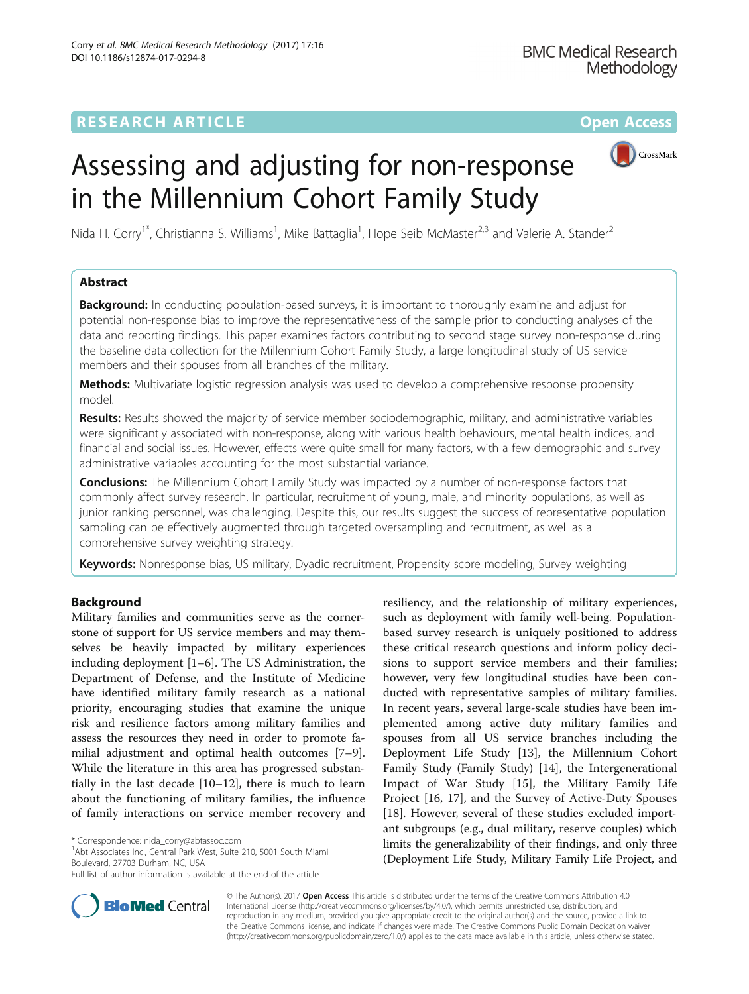## **RESEARCH ARTICLE Example 2014 12:30 The Contract of Contract ACCESS**



# Assessing and adjusting for non-response in the Millennium Cohort Family Study

Nida H. Corry<sup>1\*</sup>, Christianna S. Williams<sup>1</sup>, Mike Battaglia<sup>1</sup>, Hope Seib McMaster<sup>2,3</sup> and Valerie A. Stander<sup>2</sup>

## Abstract

**Background:** In conducting population-based surveys, it is important to thoroughly examine and adjust for potential non-response bias to improve the representativeness of the sample prior to conducting analyses of the data and reporting findings. This paper examines factors contributing to second stage survey non-response during the baseline data collection for the Millennium Cohort Family Study, a large longitudinal study of US service members and their spouses from all branches of the military.

Methods: Multivariate logistic regression analysis was used to develop a comprehensive response propensity model.

Results: Results showed the majority of service member sociodemographic, military, and administrative variables were significantly associated with non-response, along with various health behaviours, mental health indices, and financial and social issues. However, effects were quite small for many factors, with a few demographic and survey administrative variables accounting for the most substantial variance.

**Conclusions:** The Millennium Cohort Family Study was impacted by a number of non-response factors that commonly affect survey research. In particular, recruitment of young, male, and minority populations, as well as junior ranking personnel, was challenging. Despite this, our results suggest the success of representative population sampling can be effectively augmented through targeted oversampling and recruitment, as well as a comprehensive survey weighting strategy.

Keywords: Nonresponse bias, US military, Dyadic recruitment, Propensity score modeling, Survey weighting

## Background

Military families and communities serve as the cornerstone of support for US service members and may themselves be heavily impacted by military experiences including deployment [\[1](#page-14-0)–[6\]](#page-15-0). The US Administration, the Department of Defense, and the Institute of Medicine have identified military family research as a national priority, encouraging studies that examine the unique risk and resilience factors among military families and assess the resources they need in order to promote familial adjustment and optimal health outcomes [\[7](#page-15-0)–[9](#page-15-0)]. While the literature in this area has progressed substantially in the last decade [\[10](#page-15-0)–[12](#page-15-0)], there is much to learn about the functioning of military families, the influence of family interactions on service member recovery and

<sup>1</sup> Abt Associates Inc., Central Park West, Suite 210, 5001 South Miami Boulevard, 27703 Durham, NC, USA

resiliency, and the relationship of military experiences, such as deployment with family well-being. Populationbased survey research is uniquely positioned to address these critical research questions and inform policy decisions to support service members and their families; however, very few longitudinal studies have been conducted with representative samples of military families. In recent years, several large-scale studies have been implemented among active duty military families and spouses from all US service branches including the Deployment Life Study [[13\]](#page-15-0), the Millennium Cohort Family Study (Family Study) [[14\]](#page-15-0), the Intergenerational Impact of War Study [[15\]](#page-15-0), the Military Family Life Project [\[16](#page-15-0), [17\]](#page-15-0), and the Survey of Active-Duty Spouses [[18\]](#page-15-0). However, several of these studies excluded important subgroups (e.g., dual military, reserve couples) which limits the generalizability of their findings, and only three (Deployment Life Study, Military Family Life Project, and



© The Author(s). 2017 **Open Access** This article is distributed under the terms of the Creative Commons Attribution 4.0 International License [\(http://creativecommons.org/licenses/by/4.0/](http://creativecommons.org/licenses/by/4.0/)), which permits unrestricted use, distribution, and reproduction in any medium, provided you give appropriate credit to the original author(s) and the source, provide a link to the Creative Commons license, and indicate if changes were made. The Creative Commons Public Domain Dedication waiver [\(http://creativecommons.org/publicdomain/zero/1.0/](http://creativecommons.org/publicdomain/zero/1.0/)) applies to the data made available in this article, unless otherwise stated.

<sup>\*</sup> Correspondence: [nida\\_corry@abtassoc.com](mailto:nida_corry@abtassoc.com) <sup>1</sup>

Full list of author information is available at the end of the article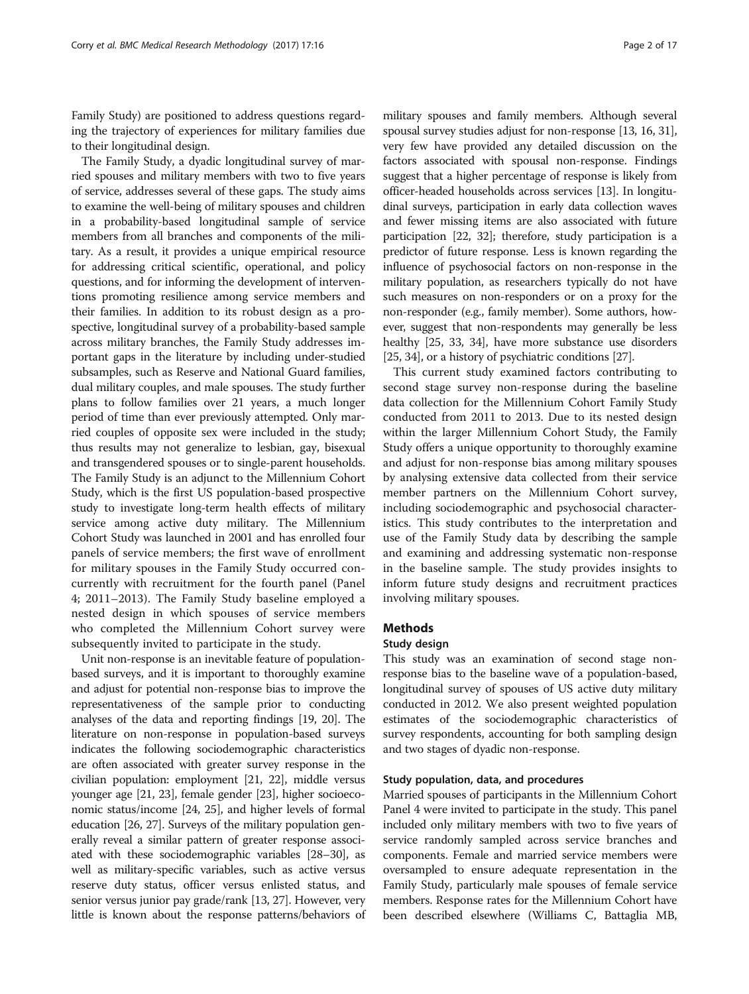Family Study) are positioned to address questions regarding the trajectory of experiences for military families due to their longitudinal design.

The Family Study, a dyadic longitudinal survey of married spouses and military members with two to five years of service, addresses several of these gaps. The study aims to examine the well-being of military spouses and children in a probability-based longitudinal sample of service members from all branches and components of the military. As a result, it provides a unique empirical resource for addressing critical scientific, operational, and policy questions, and for informing the development of interventions promoting resilience among service members and their families. In addition to its robust design as a prospective, longitudinal survey of a probability-based sample across military branches, the Family Study addresses important gaps in the literature by including under-studied subsamples, such as Reserve and National Guard families, dual military couples, and male spouses. The study further plans to follow families over 21 years, a much longer period of time than ever previously attempted. Only married couples of opposite sex were included in the study; thus results may not generalize to lesbian, gay, bisexual and transgendered spouses or to single-parent households. The Family Study is an adjunct to the Millennium Cohort Study, which is the first US population-based prospective study to investigate long-term health effects of military service among active duty military. The Millennium Cohort Study was launched in 2001 and has enrolled four panels of service members; the first wave of enrollment for military spouses in the Family Study occurred concurrently with recruitment for the fourth panel (Panel 4; 2011–2013). The Family Study baseline employed a nested design in which spouses of service members who completed the Millennium Cohort survey were subsequently invited to participate in the study.

Unit non-response is an inevitable feature of populationbased surveys, and it is important to thoroughly examine and adjust for potential non-response bias to improve the representativeness of the sample prior to conducting analyses of the data and reporting findings [\[19, 20](#page-15-0)]. The literature on non-response in population-based surveys indicates the following sociodemographic characteristics are often associated with greater survey response in the civilian population: employment [\[21, 22](#page-15-0)], middle versus younger age [\[21](#page-15-0), [23\]](#page-15-0), female gender [[23](#page-15-0)], higher socioeconomic status/income [[24](#page-15-0), [25](#page-15-0)], and higher levels of formal education [[26](#page-15-0), [27\]](#page-15-0). Surveys of the military population generally reveal a similar pattern of greater response associated with these sociodemographic variables [\[28](#page-15-0)–[30](#page-15-0)], as well as military-specific variables, such as active versus reserve duty status, officer versus enlisted status, and senior versus junior pay grade/rank [[13](#page-15-0), [27\]](#page-15-0). However, very little is known about the response patterns/behaviors of

military spouses and family members. Although several spousal survey studies adjust for non-response [\[13, 16](#page-15-0), [31](#page-15-0)], very few have provided any detailed discussion on the factors associated with spousal non-response. Findings suggest that a higher percentage of response is likely from officer-headed households across services [\[13\]](#page-15-0). In longitudinal surveys, participation in early data collection waves and fewer missing items are also associated with future participation [\[22, 32](#page-15-0)]; therefore, study participation is a predictor of future response. Less is known regarding the influence of psychosocial factors on non-response in the military population, as researchers typically do not have such measures on non-responders or on a proxy for the non-responder (e.g., family member). Some authors, however, suggest that non-respondents may generally be less healthy [\[25, 33, 34](#page-15-0)], have more substance use disorders [[25](#page-15-0), [34\]](#page-15-0), or a history of psychiatric conditions [\[27\]](#page-15-0).

This current study examined factors contributing to second stage survey non-response during the baseline data collection for the Millennium Cohort Family Study conducted from 2011 to 2013. Due to its nested design within the larger Millennium Cohort Study, the Family Study offers a unique opportunity to thoroughly examine and adjust for non-response bias among military spouses by analysing extensive data collected from their service member partners on the Millennium Cohort survey, including sociodemographic and psychosocial characteristics. This study contributes to the interpretation and use of the Family Study data by describing the sample and examining and addressing systematic non-response in the baseline sample. The study provides insights to inform future study designs and recruitment practices involving military spouses.

## Methods

#### Study design

This study was an examination of second stage nonresponse bias to the baseline wave of a population-based, longitudinal survey of spouses of US active duty military conducted in 2012. We also present weighted population estimates of the sociodemographic characteristics of survey respondents, accounting for both sampling design and two stages of dyadic non-response.

#### Study population, data, and procedures

Married spouses of participants in the Millennium Cohort Panel 4 were invited to participate in the study. This panel included only military members with two to five years of service randomly sampled across service branches and components. Female and married service members were oversampled to ensure adequate representation in the Family Study, particularly male spouses of female service members. Response rates for the Millennium Cohort have been described elsewhere (Williams C, Battaglia MB,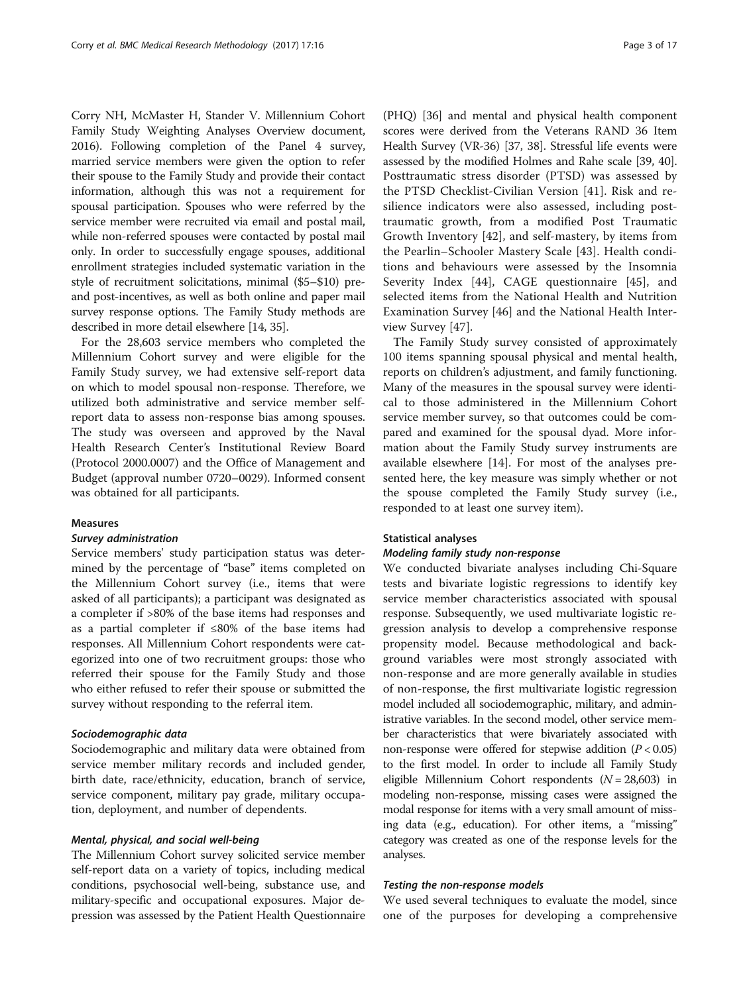Corry NH, McMaster H, Stander V. Millennium Cohort Family Study Weighting Analyses Overview document, 2016). Following completion of the Panel 4 survey, married service members were given the option to refer their spouse to the Family Study and provide their contact information, although this was not a requirement for spousal participation. Spouses who were referred by the service member were recruited via email and postal mail, while non-referred spouses were contacted by postal mail only. In order to successfully engage spouses, additional enrollment strategies included systematic variation in the style of recruitment solicitations, minimal (\$5–\$10) preand post-incentives, as well as both online and paper mail survey response options. The Family Study methods are described in more detail elsewhere [\[14](#page-15-0), [35](#page-15-0)].

For the 28,603 service members who completed the Millennium Cohort survey and were eligible for the Family Study survey, we had extensive self-report data on which to model spousal non-response. Therefore, we utilized both administrative and service member selfreport data to assess non-response bias among spouses. The study was overseen and approved by the Naval Health Research Center's Institutional Review Board (Protocol 2000.0007) and the Office of Management and Budget (approval number 0720–0029). Informed consent was obtained for all participants.

#### Measures

#### Survey administration

Service members' study participation status was determined by the percentage of "base" items completed on the Millennium Cohort survey (i.e., items that were asked of all participants); a participant was designated as a completer if >80% of the base items had responses and as a partial completer if ≤80% of the base items had responses. All Millennium Cohort respondents were categorized into one of two recruitment groups: those who referred their spouse for the Family Study and those who either refused to refer their spouse or submitted the survey without responding to the referral item.

#### Sociodemographic data

Sociodemographic and military data were obtained from service member military records and included gender, birth date, race/ethnicity, education, branch of service, service component, military pay grade, military occupation, deployment, and number of dependents.

#### Mental, physical, and social well-being

The Millennium Cohort survey solicited service member self-report data on a variety of topics, including medical conditions, psychosocial well-being, substance use, and military-specific and occupational exposures. Major depression was assessed by the Patient Health Questionnaire

(PHQ) [\[36\]](#page-15-0) and mental and physical health component scores were derived from the Veterans RAND 36 Item Health Survey (VR-36) [\[37, 38](#page-15-0)]. Stressful life events were assessed by the modified Holmes and Rahe scale [[39](#page-15-0), [40](#page-15-0)]. Posttraumatic stress disorder (PTSD) was assessed by the PTSD Checklist-Civilian Version [\[41](#page-15-0)]. Risk and resilience indicators were also assessed, including posttraumatic growth, from a modified Post Traumatic Growth Inventory [[42\]](#page-15-0), and self-mastery, by items from the Pearlin–Schooler Mastery Scale [\[43\]](#page-15-0). Health conditions and behaviours were assessed by the Insomnia Severity Index [\[44](#page-15-0)], CAGE questionnaire [[45\]](#page-15-0), and selected items from the National Health and Nutrition Examination Survey [[46\]](#page-15-0) and the National Health Interview Survey [[47\]](#page-15-0).

The Family Study survey consisted of approximately 100 items spanning spousal physical and mental health, reports on children's adjustment, and family functioning. Many of the measures in the spousal survey were identical to those administered in the Millennium Cohort service member survey, so that outcomes could be compared and examined for the spousal dyad. More information about the Family Study survey instruments are available elsewhere [\[14](#page-15-0)]. For most of the analyses presented here, the key measure was simply whether or not the spouse completed the Family Study survey (i.e., responded to at least one survey item).

#### Statistical analyses

#### Modeling family study non-response

We conducted bivariate analyses including Chi-Square tests and bivariate logistic regressions to identify key service member characteristics associated with spousal response. Subsequently, we used multivariate logistic regression analysis to develop a comprehensive response propensity model. Because methodological and background variables were most strongly associated with non-response and are more generally available in studies of non-response, the first multivariate logistic regression model included all sociodemographic, military, and administrative variables. In the second model, other service member characteristics that were bivariately associated with non-response were offered for stepwise addition  $(P < 0.05)$ to the first model. In order to include all Family Study eligible Millennium Cohort respondents  $(N = 28,603)$  in modeling non-response, missing cases were assigned the modal response for items with a very small amount of missing data (e.g., education). For other items, a "missing" category was created as one of the response levels for the analyses.

#### Testing the non-response models

We used several techniques to evaluate the model, since one of the purposes for developing a comprehensive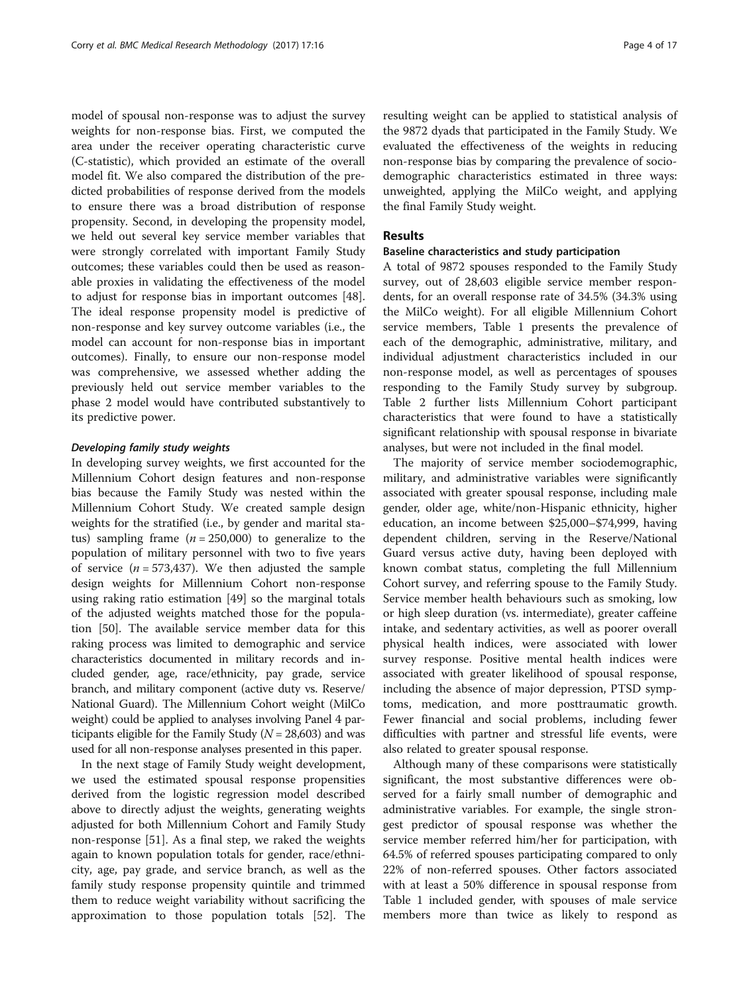model of spousal non-response was to adjust the survey weights for non-response bias. First, we computed the area under the receiver operating characteristic curve (C-statistic), which provided an estimate of the overall model fit. We also compared the distribution of the predicted probabilities of response derived from the models to ensure there was a broad distribution of response propensity. Second, in developing the propensity model, we held out several key service member variables that were strongly correlated with important Family Study outcomes; these variables could then be used as reasonable proxies in validating the effectiveness of the model to adjust for response bias in important outcomes [\[48](#page-15-0)]. The ideal response propensity model is predictive of non-response and key survey outcome variables (i.e., the model can account for non-response bias in important outcomes). Finally, to ensure our non-response model was comprehensive, we assessed whether adding the previously held out service member variables to the phase 2 model would have contributed substantively to its predictive power.

#### Developing family study weights

In developing survey weights, we first accounted for the Millennium Cohort design features and non-response bias because the Family Study was nested within the Millennium Cohort Study. We created sample design weights for the stratified (i.e., by gender and marital status) sampling frame  $(n = 250,000)$  to generalize to the population of military personnel with two to five years of service ( $n = 573,437$ ). We then adjusted the sample design weights for Millennium Cohort non-response using raking ratio estimation [\[49](#page-15-0)] so the marginal totals of the adjusted weights matched those for the population [\[50](#page-16-0)]. The available service member data for this raking process was limited to demographic and service characteristics documented in military records and included gender, age, race/ethnicity, pay grade, service branch, and military component (active duty vs. Reserve/ National Guard). The Millennium Cohort weight (MilCo weight) could be applied to analyses involving Panel 4 participants eligible for the Family Study ( $N = 28,603$ ) and was used for all non-response analyses presented in this paper.

In the next stage of Family Study weight development, we used the estimated spousal response propensities derived from the logistic regression model described above to directly adjust the weights, generating weights adjusted for both Millennium Cohort and Family Study non-response [[51](#page-16-0)]. As a final step, we raked the weights again to known population totals for gender, race/ethnicity, age, pay grade, and service branch, as well as the family study response propensity quintile and trimmed them to reduce weight variability without sacrificing the approximation to those population totals [\[52\]](#page-16-0). The resulting weight can be applied to statistical analysis of the 9872 dyads that participated in the Family Study. We evaluated the effectiveness of the weights in reducing non-response bias by comparing the prevalence of sociodemographic characteristics estimated in three ways: unweighted, applying the MilCo weight, and applying the final Family Study weight.

#### Results

#### Baseline characteristics and study participation

A total of 9872 spouses responded to the Family Study survey, out of 28,603 eligible service member respondents, for an overall response rate of 34.5% (34.3% using the MilCo weight). For all eligible Millennium Cohort service members, Table [1](#page-4-0) presents the prevalence of each of the demographic, administrative, military, and individual adjustment characteristics included in our non-response model, as well as percentages of spouses responding to the Family Study survey by subgroup. Table [2](#page-7-0) further lists Millennium Cohort participant characteristics that were found to have a statistically significant relationship with spousal response in bivariate analyses, but were not included in the final model.

The majority of service member sociodemographic, military, and administrative variables were significantly associated with greater spousal response, including male gender, older age, white/non-Hispanic ethnicity, higher education, an income between \$25,000–\$74,999, having dependent children, serving in the Reserve/National Guard versus active duty, having been deployed with known combat status, completing the full Millennium Cohort survey, and referring spouse to the Family Study. Service member health behaviours such as smoking, low or high sleep duration (vs. intermediate), greater caffeine intake, and sedentary activities, as well as poorer overall physical health indices, were associated with lower survey response. Positive mental health indices were associated with greater likelihood of spousal response, including the absence of major depression, PTSD symptoms, medication, and more posttraumatic growth. Fewer financial and social problems, including fewer difficulties with partner and stressful life events, were also related to greater spousal response.

Although many of these comparisons were statistically significant, the most substantive differences were observed for a fairly small number of demographic and administrative variables. For example, the single strongest predictor of spousal response was whether the service member referred him/her for participation, with 64.5% of referred spouses participating compared to only 22% of non-referred spouses. Other factors associated with at least a 50% difference in spousal response from Table [1](#page-4-0) included gender, with spouses of male service members more than twice as likely to respond as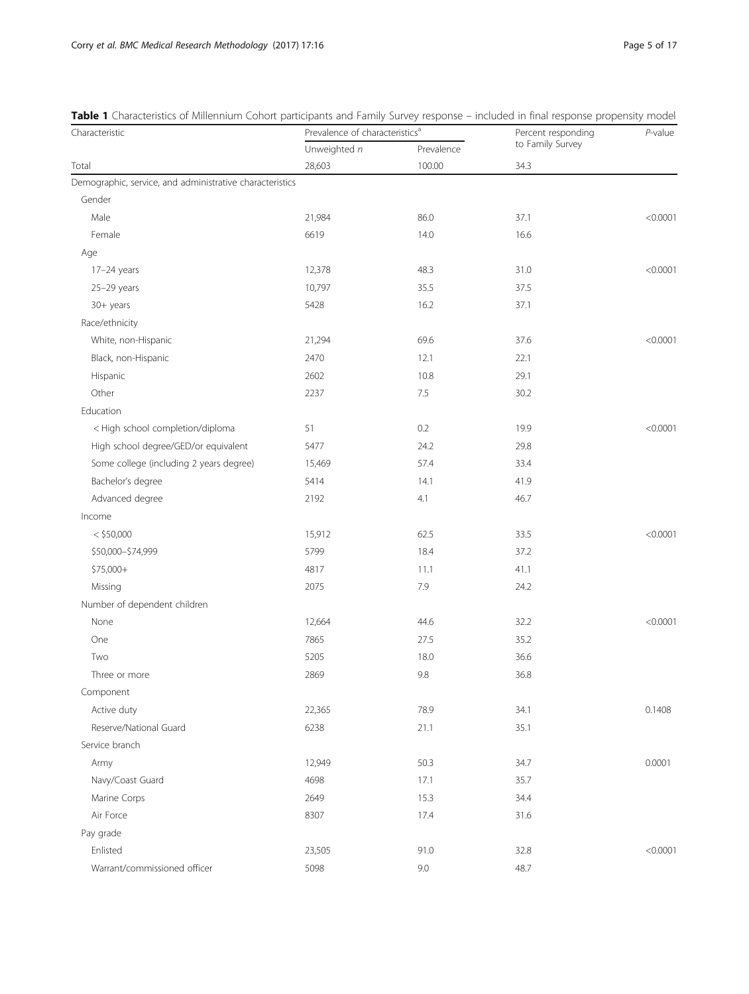| Characteristic                                           | Prevalence of characteristics <sup>a</sup> |            | Percent responding | $P$ -value |
|----------------------------------------------------------|--------------------------------------------|------------|--------------------|------------|
|                                                          | Unweighted n                               | Prevalence | to Family Survey   |            |
| Total                                                    | 28,603                                     | 100.00     | 34.3               |            |
| Demographic, service, and administrative characteristics |                                            |            |                    |            |
| Gender                                                   |                                            |            |                    |            |
| Male                                                     | 21,984                                     | 86.0       | 37.1               | < 0.0001   |
| Female                                                   | 6619                                       | 14.0       | 16.6               |            |
| Age                                                      |                                            |            |                    |            |
| $17-24$ years                                            | 12,378                                     | 48.3       | 31.0               | < 0.0001   |
| $25-29$ years                                            | 10,797                                     | 35.5       | 37.5               |            |
| 30+ years                                                | 5428                                       | 16.2       | 37.1               |            |
| Race/ethnicity                                           |                                            |            |                    |            |
| White, non-Hispanic                                      | 21,294                                     | 69.6       | 37.6               | < 0.0001   |
| Black, non-Hispanic                                      | 2470                                       | 12.1       | 22.1               |            |
| Hispanic                                                 | 2602                                       | 10.8       | 29.1               |            |
| Other                                                    | 2237                                       | 7.5        | 30.2               |            |
| Education                                                |                                            |            |                    |            |
| < High school completion/diploma                         | 51                                         | 0.2        | 19.9               | < 0.0001   |
| High school degree/GED/or equivalent                     | 5477                                       | 24.2       | 29.8               |            |
| Some college (including 2 years degree)                  | 15,469                                     | 57.4       | 33.4               |            |
| Bachelor's degree                                        | 5414                                       | 14.1       | 41.9               |            |
| Advanced degree                                          | 2192                                       | 4.1        | 46.7               |            |
| Income                                                   |                                            |            |                    |            |
| $<$ \$50,000                                             | 15,912                                     | 62.5       | 33.5               | < 0.0001   |
| \$50,000-\$74,999                                        | 5799                                       | 18.4       | 37.2               |            |
| \$75,000+                                                | 4817                                       | 11.1       | 41.1               |            |
| Missing                                                  | 2075                                       | 7.9        | 24.2               |            |
| Number of dependent children                             |                                            |            |                    |            |
| None                                                     | 12,664                                     | 44.6       | 32.2               | < 0.0001   |
| One                                                      | 7865                                       | 27.5       | 35.2               |            |
| Two                                                      | 5205                                       | 18.0       | 36.6               |            |
| Three or more                                            | 2869                                       | 9.8        | 36.8               |            |
| Component                                                |                                            |            |                    |            |
| Active duty                                              | 22,365                                     | 78.9       | 34.1               | 0.1408     |
| Reserve/National Guard                                   | 6238                                       | 21.1       | 35.1               |            |
| Service branch                                           |                                            |            |                    |            |
| Army                                                     | 12,949                                     | 50.3       | 34.7               | 0.0001     |
| Navy/Coast Guard                                         | 4698                                       | 17.1       | 35.7               |            |
| Marine Corps                                             | 2649                                       | 15.3       | 34.4               |            |
| Air Force                                                | 8307                                       | 17.4       | 31.6               |            |
| Pay grade                                                |                                            |            |                    |            |
| Enlisted                                                 | 23,505                                     | 91.0       | 32.8               | < 0.0001   |
| Warrant/commissioned officer                             | 5098                                       | 9.0        | 48.7               |            |

<span id="page-4-0"></span>Table 1 Characteristics of Millennium Cohort participants and Family Survey response – included in final response propensity model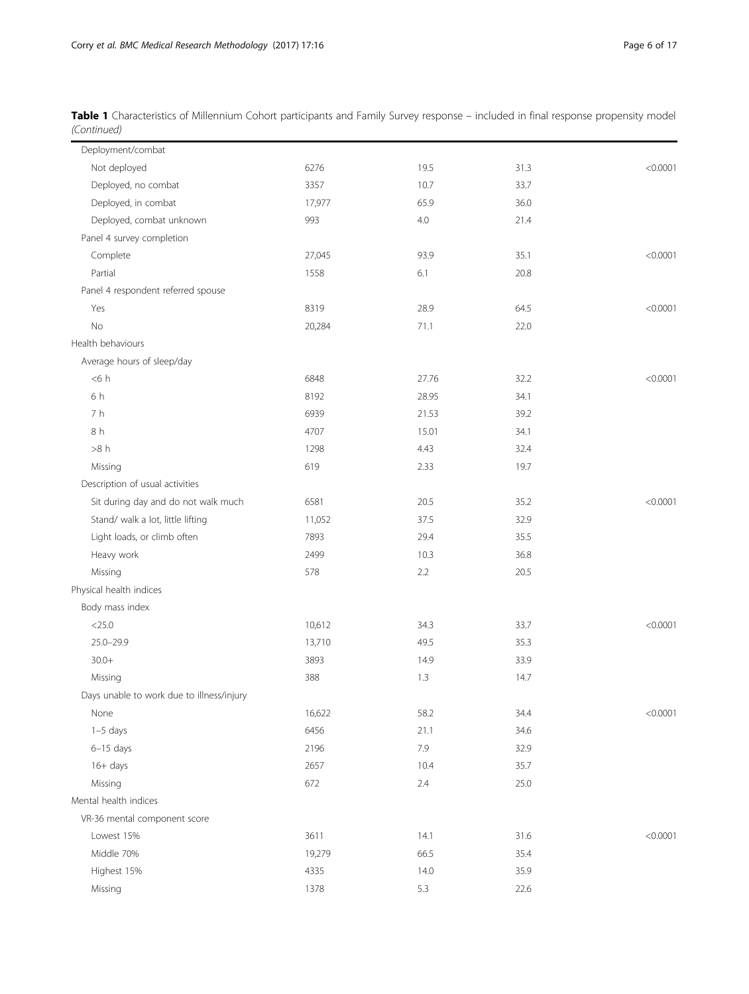| Table 1 Characteristics of Millennium Cohort participants and Family Survey response - included in final response propensity model |  |  |
|------------------------------------------------------------------------------------------------------------------------------------|--|--|
| (Continued)                                                                                                                        |  |  |

| Deployment/combat                         |        |         |      |          |
|-------------------------------------------|--------|---------|------|----------|
| Not deployed                              | 6276   | 19.5    | 31.3 | < 0.0001 |
| Deployed, no combat                       | 3357   | 10.7    | 33.7 |          |
| Deployed, in combat                       | 17,977 | 65.9    | 36.0 |          |
| Deployed, combat unknown                  | 993    | $4.0\,$ | 21.4 |          |
| Panel 4 survey completion                 |        |         |      |          |
| Complete                                  | 27,045 | 93.9    | 35.1 | < 0.0001 |
| Partial                                   | 1558   | 6.1     | 20.8 |          |
| Panel 4 respondent referred spouse        |        |         |      |          |
| Yes                                       | 8319   | 28.9    | 64.5 | < 0.0001 |
| No                                        | 20,284 | 71.1    | 22.0 |          |
| Health behaviours                         |        |         |      |          |
| Average hours of sleep/day                |        |         |      |          |
| < 6 h                                     | 6848   | 27.76   | 32.2 | < 0.0001 |
| 6 h                                       | 8192   | 28.95   | 34.1 |          |
| 7 h                                       | 6939   | 21.53   | 39.2 |          |
| 8 h                                       | 4707   | 15.01   | 34.1 |          |
| >8 h                                      | 1298   | 4.43    | 32.4 |          |
| Missing                                   | 619    | 2.33    | 19.7 |          |
| Description of usual activities           |        |         |      |          |
| Sit during day and do not walk much       | 6581   | 20.5    | 35.2 | < 0.0001 |
| Stand/ walk a lot, little lifting         | 11,052 | 37.5    | 32.9 |          |
| Light loads, or climb often               | 7893   | 29.4    | 35.5 |          |
| Heavy work                                | 2499   | 10.3    | 36.8 |          |
| Missing                                   | 578    | 2.2     | 20.5 |          |
| Physical health indices                   |        |         |      |          |
| Body mass index                           |        |         |      |          |
| $<$ 25.0                                  | 10,612 | 34.3    | 33.7 | < 0.0001 |
| $25.0 - 29.9$                             | 13,710 | 49.5    | 35.3 |          |
| $30.0+$                                   | 3893   | 14.9    | 33.9 |          |
| Missing                                   | 388    | 1.3     | 14.7 |          |
| Days unable to work due to illness/injury |        |         |      |          |
| None                                      | 16,622 | 58.2    | 34.4 | < 0.0001 |
| $1-5$ days                                | 6456   | 21.1    | 34.6 |          |
| $6-15$ days                               | 2196   | 7.9     | 32.9 |          |
| $16+$ days                                | 2657   | 10.4    | 35.7 |          |
| Missing                                   | 672    | 2.4     | 25.0 |          |
| Mental health indices                     |        |         |      |          |
| VR-36 mental component score              |        |         |      |          |
| Lowest 15%                                | 3611   | 14.1    | 31.6 | < 0.0001 |
| Middle 70%                                | 19,279 | 66.5    | 35.4 |          |
| Highest 15%                               | 4335   | 14.0    | 35.9 |          |
| Missing                                   | 1378   | 5.3     | 22.6 |          |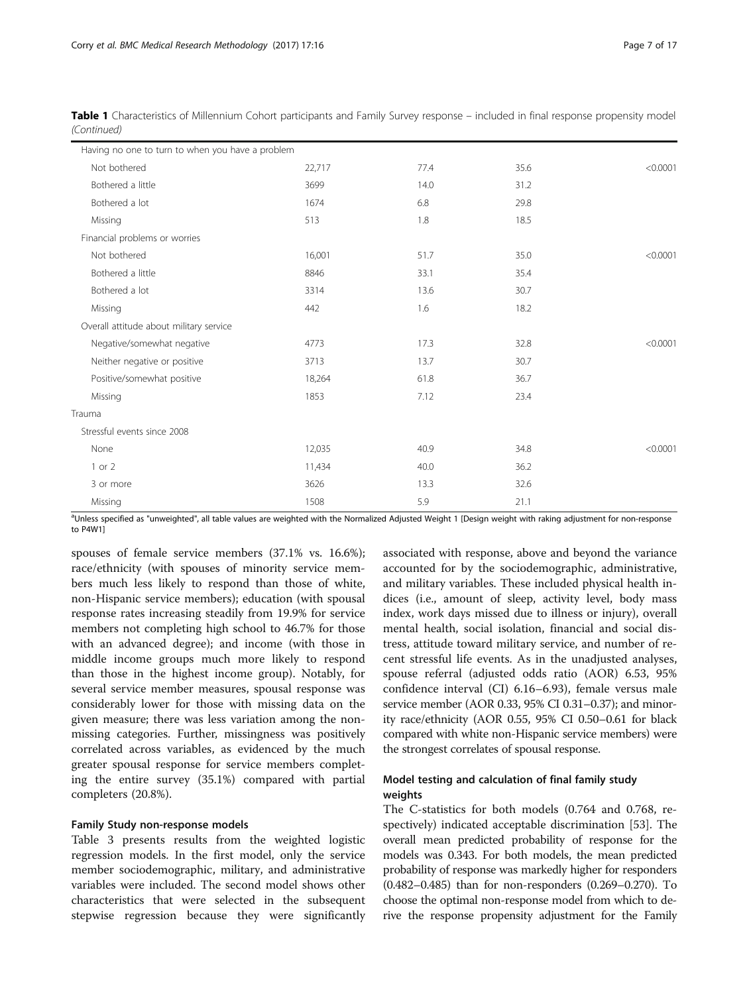| Having no one to turn to when you have a problem |        |      |      |          |
|--------------------------------------------------|--------|------|------|----------|
| Not bothered                                     | 22,717 | 77.4 | 35.6 | < 0.0001 |
| Bothered a little                                | 3699   | 14.0 | 31.2 |          |
| Bothered a lot                                   | 1674   | 6.8  | 29.8 |          |
| Missing                                          | 513    | 1.8  | 18.5 |          |
| Financial problems or worries                    |        |      |      |          |
| Not bothered                                     | 16,001 | 51.7 | 35.0 | < 0.0001 |
| Bothered a little                                | 8846   | 33.1 | 35.4 |          |
| Bothered a lot                                   | 3314   | 13.6 | 30.7 |          |
| Missing                                          | 442    | 1.6  | 18.2 |          |
| Overall attitude about military service          |        |      |      |          |
| Negative/somewhat negative                       | 4773   | 17.3 | 32.8 | < 0.0001 |
| Neither negative or positive                     | 3713   | 13.7 | 30.7 |          |
| Positive/somewhat positive                       | 18,264 | 61.8 | 36.7 |          |
| Missing                                          | 1853   | 7.12 | 23.4 |          |
| Trauma                                           |        |      |      |          |
| Stressful events since 2008                      |        |      |      |          |
| None                                             | 12,035 | 40.9 | 34.8 | < 0.0001 |
| 1 or 2                                           | 11,434 | 40.0 | 36.2 |          |
| 3 or more                                        | 3626   | 13.3 | 32.6 |          |
| Missing                                          | 1508   | 5.9  | 21.1 |          |

Table 1 Characteristics of Millennium Cohort participants and Family Survey response – included in final response propensity model (Continued)

aUnless specified as "unweighted", all table values are weighted with the Normalized Adjusted Weight 1 [Design weight with raking adjustment for non-response to P4W1]

spouses of female service members (37.1% vs. 16.6%); race/ethnicity (with spouses of minority service members much less likely to respond than those of white, non-Hispanic service members); education (with spousal response rates increasing steadily from 19.9% for service members not completing high school to 46.7% for those with an advanced degree); and income (with those in middle income groups much more likely to respond than those in the highest income group). Notably, for several service member measures, spousal response was considerably lower for those with missing data on the given measure; there was less variation among the nonmissing categories. Further, missingness was positively correlated across variables, as evidenced by the much greater spousal response for service members completing the entire survey (35.1%) compared with partial completers (20.8%).

#### Family Study non-response models

Table [3](#page-8-0) presents results from the weighted logistic regression models. In the first model, only the service member sociodemographic, military, and administrative variables were included. The second model shows other characteristics that were selected in the subsequent stepwise regression because they were significantly associated with response, above and beyond the variance accounted for by the sociodemographic, administrative, and military variables. These included physical health indices (i.e., amount of sleep, activity level, body mass index, work days missed due to illness or injury), overall mental health, social isolation, financial and social distress, attitude toward military service, and number of recent stressful life events. As in the unadjusted analyses, spouse referral (adjusted odds ratio (AOR) 6.53, 95% confidence interval (CI) 6.16–6.93), female versus male service member (AOR 0.33, 95% CI 0.31–0.37); and minority race/ethnicity (AOR 0.55, 95% CI 0.50–0.61 for black compared with white non-Hispanic service members) were the strongest correlates of spousal response.

## Model testing and calculation of final family study weights

The C-statistics for both models (0.764 and 0.768, respectively) indicated acceptable discrimination [[53\]](#page-16-0). The overall mean predicted probability of response for the models was 0.343. For both models, the mean predicted probability of response was markedly higher for responders (0.482–0.485) than for non-responders (0.269–0.270). To choose the optimal non-response model from which to derive the response propensity adjustment for the Family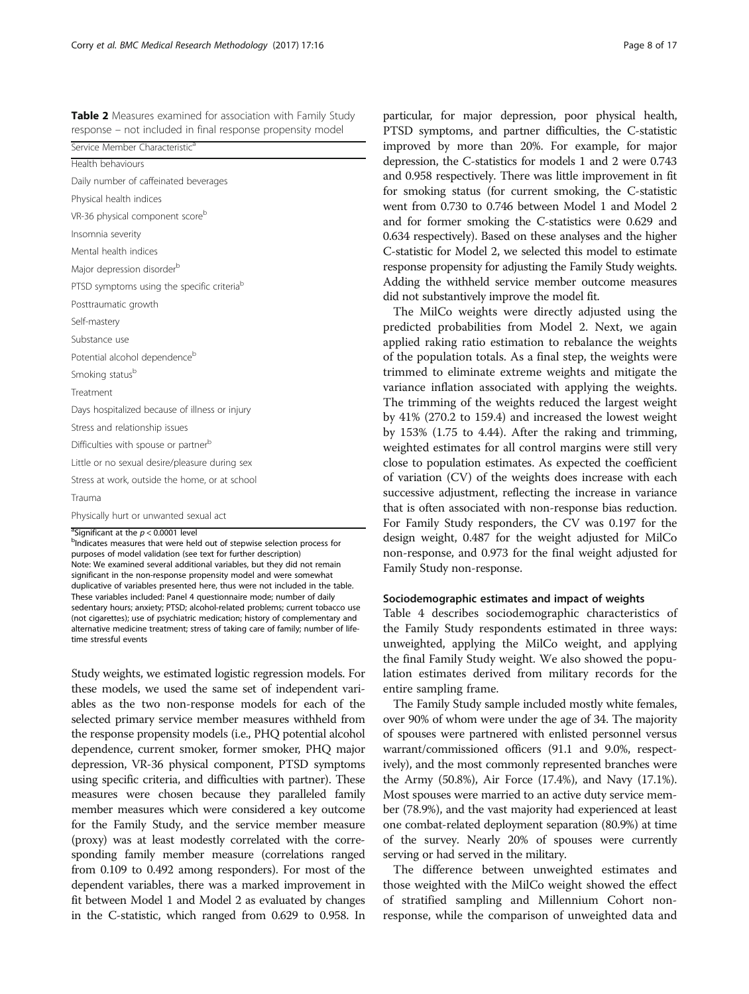<span id="page-7-0"></span>Table 2 Measures examined for association with Family Study response – not included in final response propensity model

| Service Member Characteristic <sup>a</sup>                                                                                                                                                                    |
|---------------------------------------------------------------------------------------------------------------------------------------------------------------------------------------------------------------|
| Health behaviours                                                                                                                                                                                             |
| Daily number of caffeinated beverages                                                                                                                                                                         |
| Physical health indices                                                                                                                                                                                       |
| VR-36 physical component score <sup>b</sup>                                                                                                                                                                   |
| Insomnia severity                                                                                                                                                                                             |
| Mental health indices                                                                                                                                                                                         |
| Major depression disorder <sup>b</sup>                                                                                                                                                                        |
| PTSD symptoms using the specific criteriab                                                                                                                                                                    |
| Posttraumatic growth                                                                                                                                                                                          |
| Self-mastery                                                                                                                                                                                                  |
| Substance use                                                                                                                                                                                                 |
| Potential alcohol dependence <sup>b</sup>                                                                                                                                                                     |
| Smoking status <sup>b</sup>                                                                                                                                                                                   |
| Treatment                                                                                                                                                                                                     |
| Days hospitalized because of illness or injury                                                                                                                                                                |
| Stress and relationship issues                                                                                                                                                                                |
| Difficulties with spouse or partnerb                                                                                                                                                                          |
| Little or no sexual desire/pleasure during sex                                                                                                                                                                |
| Stress at work, outside the home, or at school                                                                                                                                                                |
| Trauma                                                                                                                                                                                                        |
| Physically hurt or unwanted sexual act                                                                                                                                                                        |
| <sup>a</sup> Significant at the $p < 0.0001$ level<br><sup>b</sup> Indicates measures that were held out of stepwise selection process for<br>purposes of model validation (see text for further description) |

purposes of model validation (see text for further description) Note: We examined several additional variables, but they did not remain significant in the non-response propensity model and were somewhat duplicative of variables presented here, thus were not included in the table. These variables included: Panel 4 questionnaire mode; number of daily sedentary hours; anxiety; PTSD; alcohol-related problems; current tobacco use (not cigarettes); use of psychiatric medication; history of complementary and alternative medicine treatment; stress of taking care of family; number of lifetime stressful events

Study weights, we estimated logistic regression models. For these models, we used the same set of independent variables as the two non-response models for each of the selected primary service member measures withheld from the response propensity models (i.e., PHQ potential alcohol dependence, current smoker, former smoker, PHQ major depression, VR-36 physical component, PTSD symptoms using specific criteria, and difficulties with partner). These measures were chosen because they paralleled family member measures which were considered a key outcome for the Family Study, and the service member measure (proxy) was at least modestly correlated with the corresponding family member measure (correlations ranged from 0.109 to 0.492 among responders). For most of the dependent variables, there was a marked improvement in fit between Model 1 and Model 2 as evaluated by changes in the C-statistic, which ranged from 0.629 to 0.958. In

particular, for major depression, poor physical health, PTSD symptoms, and partner difficulties, the C-statistic improved by more than 20%. For example, for major depression, the C-statistics for models 1 and 2 were 0.743 and 0.958 respectively. There was little improvement in fit for smoking status (for current smoking, the C-statistic went from 0.730 to 0.746 between Model 1 and Model 2 and for former smoking the C-statistics were 0.629 and 0.634 respectively). Based on these analyses and the higher C-statistic for Model 2, we selected this model to estimate response propensity for adjusting the Family Study weights. Adding the withheld service member outcome measures did not substantively improve the model fit.

The MilCo weights were directly adjusted using the predicted probabilities from Model 2. Next, we again applied raking ratio estimation to rebalance the weights of the population totals. As a final step, the weights were trimmed to eliminate extreme weights and mitigate the variance inflation associated with applying the weights. The trimming of the weights reduced the largest weight by 41% (270.2 to 159.4) and increased the lowest weight by 153% (1.75 to 4.44). After the raking and trimming, weighted estimates for all control margins were still very close to population estimates. As expected the coefficient of variation (CV) of the weights does increase with each successive adjustment, reflecting the increase in variance that is often associated with non-response bias reduction. For Family Study responders, the CV was 0.197 for the design weight, 0.487 for the weight adjusted for MilCo non-response, and 0.973 for the final weight adjusted for Family Study non-response.

#### Sociodemographic estimates and impact of weights

Table [4](#page-11-0) describes sociodemographic characteristics of the Family Study respondents estimated in three ways: unweighted, applying the MilCo weight, and applying the final Family Study weight. We also showed the population estimates derived from military records for the entire sampling frame.

The Family Study sample included mostly white females, over 90% of whom were under the age of 34. The majority of spouses were partnered with enlisted personnel versus warrant/commissioned officers (91.1 and 9.0%, respectively), and the most commonly represented branches were the Army (50.8%), Air Force (17.4%), and Navy (17.1%). Most spouses were married to an active duty service member (78.9%), and the vast majority had experienced at least one combat-related deployment separation (80.9%) at time of the survey. Nearly 20% of spouses were currently serving or had served in the military.

The difference between unweighted estimates and those weighted with the MilCo weight showed the effect of stratified sampling and Millennium Cohort nonresponse, while the comparison of unweighted data and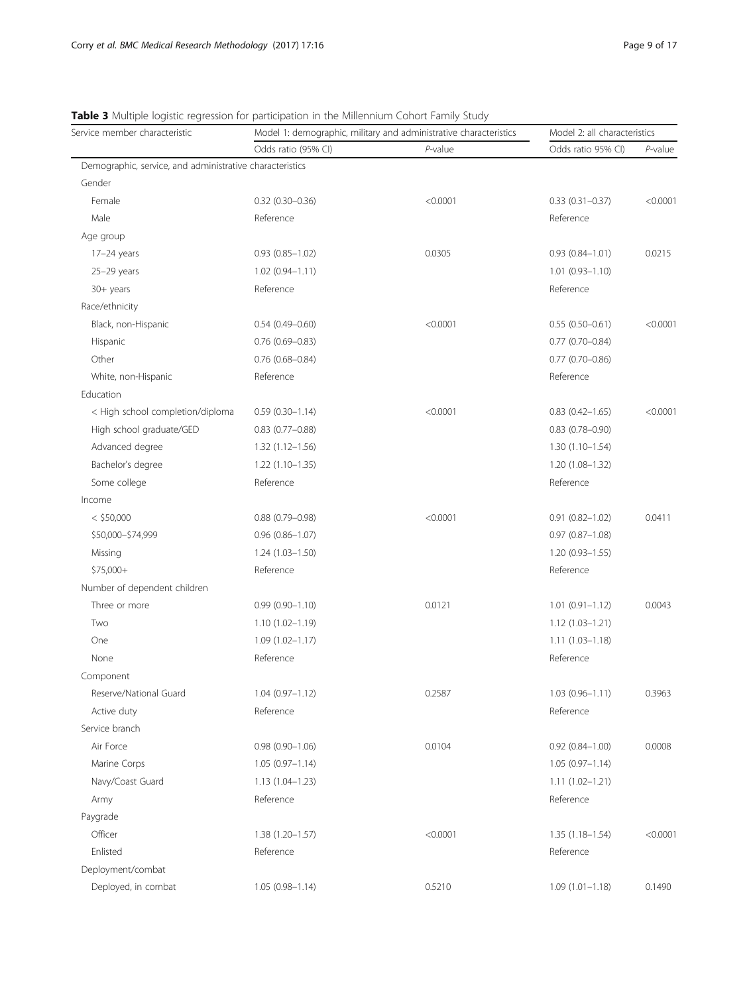## <span id="page-8-0"></span>Table 3 Multiple logistic regression for participation in the Millennium Cohort Family Study

| Odds ratio (95% CI)<br>$P$ -value<br>Odds ratio 95% CI)                                       | $P$ -value |
|-----------------------------------------------------------------------------------------------|------------|
|                                                                                               |            |
| Demographic, service, and administrative characteristics                                      |            |
| Gender                                                                                        |            |
| Female<br>$0.32$ (0.30-0.36)<br>< 0.0001<br>$0.33(0.31 - 0.37)$                               | < 0.0001   |
| Male<br>Reference<br>Reference                                                                |            |
| Age group                                                                                     |            |
| $0.93$ $(0.85 - 1.02)$<br>0.0305<br>$0.93(0.84 - 1.01)$<br>$17-24$ years                      | 0.0215     |
| $1.01(0.93 - 1.10)$<br>$25-29$ years<br>$1.02(0.94 - 1.11)$                                   |            |
| Reference<br>Reference<br>30+ years                                                           |            |
| Race/ethnicity                                                                                |            |
| Black, non-Hispanic<br>$0.54(0.49 - 0.60)$<br>< 0.0001<br>$0.55(0.50-0.61)$                   | < 0.0001   |
| Hispanic<br>$0.76$ $(0.69 - 0.83)$<br>$0.77$ $(0.70 - 0.84)$                                  |            |
| Other<br>$0.76$ (0.68-0.84)<br>$0.77$ (0.70-0.86)                                             |            |
| White, non-Hispanic<br>Reference<br>Reference                                                 |            |
| Education                                                                                     |            |
| < High school completion/diploma<br>< 0.0001<br>$0.59(0.30 - 1.14)$<br>$0.83$ $(0.42 - 1.65)$ | < 0.0001   |
| High school graduate/GED<br>$0.83$ $(0.77 - 0.88)$<br>$0.83$ $(0.78 - 0.90)$                  |            |
| Advanced degree<br>$1.32(1.12 - 1.56)$<br>$1.30(1.10-1.54)$                                   |            |
| Bachelor's degree<br>$1.22(1.10-1.35)$<br>$1.20(1.08-1.32)$                                   |            |
| Some college<br>Reference<br>Reference                                                        |            |
| Income                                                                                        |            |
| $<$ \$50,000<br>< 0.0001<br>$0.91(0.82 - 1.02)$<br>$0.88$ $(0.79 - 0.98)$                     | 0.0411     |
| \$50,000-\$74,999<br>$0.96$ $(0.86 - 1.07)$<br>$0.97(0.87 - 1.08)$                            |            |
| Missing<br>$1.24(1.03 - 1.50)$<br>$1.20(0.93 - 1.55)$                                         |            |
| Reference<br>\$75,000+<br>Reference                                                           |            |
| Number of dependent children                                                                  |            |
| 0.0121<br>Three or more<br>$0.99(0.90 - 1.10)$<br>$1.01(0.91 - 1.12)$                         | 0.0043     |
| Two<br>$1.10(1.02 - 1.19)$<br>$1.12(1.03 - 1.21)$                                             |            |
| $1.09(1.02 - 1.17)$<br>One<br>$1.11(1.03 - 1.18)$                                             |            |
| Reference<br>Reference<br>None                                                                |            |
| Component                                                                                     |            |
| Reserve/National Guard<br>$1.04(0.97 - 1.12)$<br>$1.03(0.96 - 1.11)$<br>0.2587                | 0.3963     |
| Active duty<br>Reference<br>Reference                                                         |            |
| Service branch                                                                                |            |
| Air Force<br>$0.98(0.90 - 1.06)$<br>0.0104<br>$0.92$ $(0.84 - 1.00)$                          | 0.0008     |
| Marine Corps<br>$1.05(0.97 - 1.14)$<br>$1.05(0.97 - 1.14)$                                    |            |
| Navy/Coast Guard<br>$1.13(1.04 - 1.23)$<br>$1.11(1.02 - 1.21)$                                |            |
| Reference<br>Reference<br>Army                                                                |            |
| Paygrade                                                                                      |            |
| Officer<br>< 0.0001<br>$1.38(1.20 - 1.57)$<br>$1.35(1.18 - 1.54)$                             | < 0.0001   |
| Enlisted<br>Reference<br>Reference                                                            |            |
| Deployment/combat                                                                             |            |
| Deployed, in combat<br>$1.05(0.98 - 1.14)$<br>0.5210<br>$1.09(1.01 - 1.18)$                   | 0.1490     |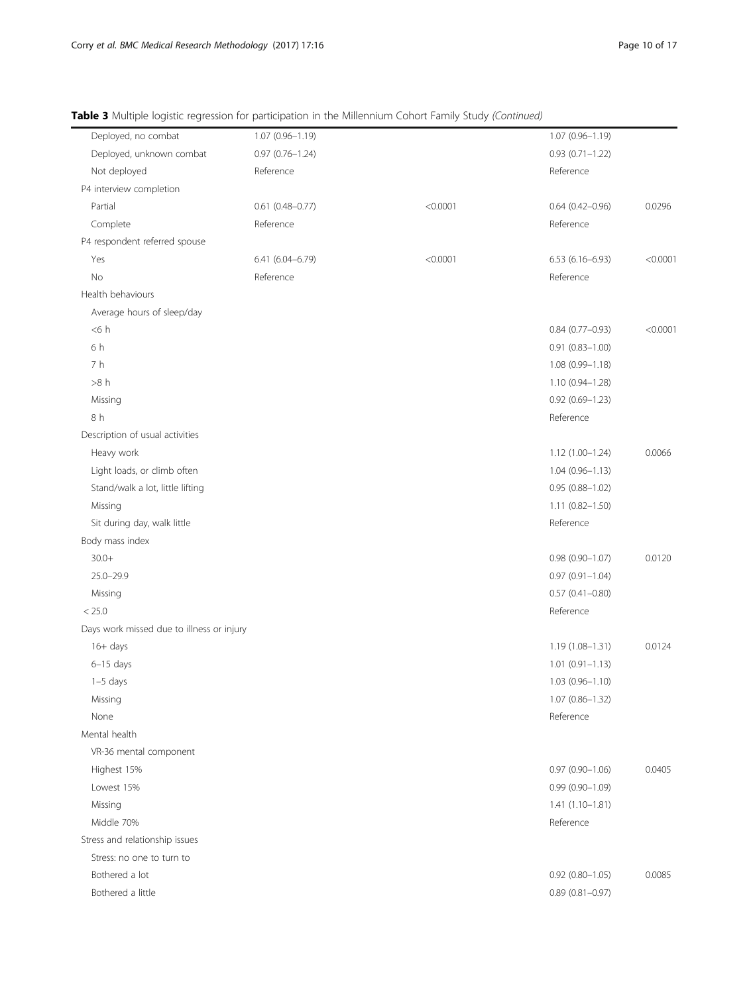| Deployed, no combat                       | 1.07 (0.96-1.19)       |          | $1.07(0.96 - 1.19)$    |          |
|-------------------------------------------|------------------------|----------|------------------------|----------|
| Deployed, unknown combat                  | $0.97(0.76 - 1.24)$    |          | $0.93(0.71 - 1.22)$    |          |
| Not deployed                              | Reference              |          | Reference              |          |
| P4 interview completion                   |                        |          |                        |          |
| Partial                                   | $0.61$ $(0.48 - 0.77)$ | < 0.0001 | $0.64(0.42 - 0.96)$    | 0.0296   |
| Complete                                  | Reference              |          | Reference              |          |
| P4 respondent referred spouse             |                        |          |                        |          |
| Yes                                       | $6.41(6.04 - 6.79)$    | < 0.0001 | 6.53 (6.16-6.93)       | < 0.0001 |
| No                                        | Reference              |          | Reference              |          |
| Health behaviours                         |                        |          |                        |          |
| Average hours of sleep/day                |                        |          |                        |          |
| < 6 h                                     |                        |          | $0.84(0.77-0.93)$      | < 0.0001 |
| 6 h                                       |                        |          | $0.91$ $(0.83 - 1.00)$ |          |
| 7 h                                       |                        |          | $1.08(0.99 - 1.18)$    |          |
| >8 h                                      |                        |          | 1.10 (0.94-1.28)       |          |
| Missing                                   |                        |          | $0.92$ $(0.69 - 1.23)$ |          |
| 8 h                                       |                        |          | Reference              |          |
| Description of usual activities           |                        |          |                        |          |
| Heavy work                                |                        |          | 1.12 (1.00-1.24)       | 0.0066   |
| Light loads, or climb often               |                        |          | $1.04(0.96 - 1.13)$    |          |
| Stand/walk a lot, little lifting          |                        |          | $0.95(0.88 - 1.02)$    |          |
| Missing                                   |                        |          | 1.11 (0.82-1.50)       |          |
| Sit during day, walk little               |                        |          | Reference              |          |
| Body mass index                           |                        |          |                        |          |
| $30.0+$                                   |                        |          | $0.98(0.90 - 1.07)$    | 0.0120   |
| $25.0 - 29.9$                             |                        |          | $0.97(0.91 - 1.04)$    |          |
| Missing                                   |                        |          | $0.57(0.41 - 0.80)$    |          |
| < 25.0                                    |                        |          | Reference              |          |
| Days work missed due to illness or injury |                        |          |                        |          |
| $16+$ days                                |                        |          | $1.19(1.08 - 1.31)$    | 0.0124   |
| $6-15$ days                               |                        |          | $1.01 (0.91 - 1.13)$   |          |
| $1-5$ days                                |                        |          | $1.03(0.96 - 1.10)$    |          |
| Missing                                   |                        |          | $1.07(0.86 - 1.32)$    |          |
| None                                      |                        |          | Reference              |          |
| Mental health                             |                        |          |                        |          |
| VR-36 mental component                    |                        |          |                        |          |
| Highest 15%                               |                        |          | $0.97(0.90 - 1.06)$    | 0.0405   |
| Lowest 15%                                |                        |          | $0.99(0.90 - 1.09)$    |          |
| Missing                                   |                        |          | $1.41(1.10-1.81)$      |          |
| Middle 70%                                |                        |          | Reference              |          |
| Stress and relationship issues            |                        |          |                        |          |
| Stress: no one to turn to                 |                        |          |                        |          |
| Bothered a lot                            |                        |          | $0.92$ $(0.80 - 1.05)$ | 0.0085   |
| Bothered a little                         |                        |          | $0.89$ $(0.81 - 0.97)$ |          |

Table 3 Multiple logistic regression for participation in the Millennium Cohort Family Study (Continued)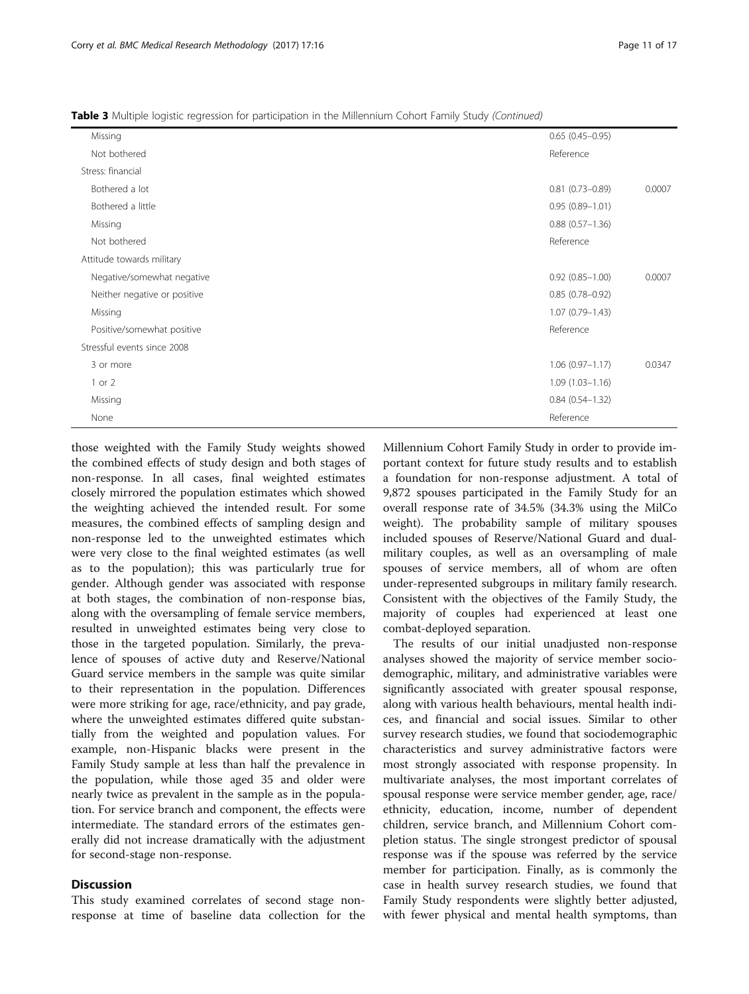those weighted with the Family Study weights showed the combined effects of study design and both stages of non-response. In all cases, final weighted estimates closely mirrored the population estimates which showed the weighting achieved the intended result. For some measures, the combined effects of sampling design and non-response led to the unweighted estimates which were very close to the final weighted estimates (as well as to the population); this was particularly true for gender. Although gender was associated with response at both stages, the combination of non-response bias, along with the oversampling of female service members, resulted in unweighted estimates being very close to those in the targeted population. Similarly, the prevalence of spouses of active duty and Reserve/National Guard service members in the sample was quite similar to their representation in the population. Differences were more striking for age, race/ethnicity, and pay grade, where the unweighted estimates differed quite substantially from the weighted and population values. For example, non-Hispanic blacks were present in the Family Study sample at less than half the prevalence in the population, while those aged 35 and older were nearly twice as prevalent in the sample as in the population. For service branch and component, the effects were intermediate. The standard errors of the estimates generally did not increase dramatically with the adjustment

#### **Discussion**

for second-stage non-response.

This study examined correlates of second stage nonresponse at time of baseline data collection for the Millennium Cohort Family Study in order to provide important context for future study results and to establish a foundation for non-response adjustment. A total of 9,872 spouses participated in the Family Study for an overall response rate of 34.5% (34.3% using the MilCo weight). The probability sample of military spouses included spouses of Reserve/National Guard and dualmilitary couples, as well as an oversampling of male spouses of service members, all of whom are often under-represented subgroups in military family research. Consistent with the objectives of the Family Study, the majority of couples had experienced at least one combat-deployed separation.

The results of our initial unadjusted non-response analyses showed the majority of service member sociodemographic, military, and administrative variables were significantly associated with greater spousal response, along with various health behaviours, mental health indices, and financial and social issues. Similar to other survey research studies, we found that sociodemographic characteristics and survey administrative factors were most strongly associated with response propensity. In multivariate analyses, the most important correlates of spousal response were service member gender, age, race/ ethnicity, education, income, number of dependent children, service branch, and Millennium Cohort completion status. The single strongest predictor of spousal response was if the spouse was referred by the service member for participation. Finally, as is commonly the case in health survey research studies, we found that Family Study respondents were slightly better adjusted, with fewer physical and mental health symptoms, than

|  |  | Table 3 Multiple logistic regression for participation in the Millennium Cohort Family Study (Continued) |  |
|--|--|----------------------------------------------------------------------------------------------------------|--|
|  |  |                                                                                                          |  |

| Missing                      | $0.65(0.45-0.95)$             |
|------------------------------|-------------------------------|
| Not bothered                 | Reference                     |
| Stress: financial            |                               |
| Bothered a lot               | $0.81$ (0.73-0.89)<br>0.0007  |
| Bothered a little            | $0.95(0.89 - 1.01)$           |
| Missing                      | $0.88$ $(0.57 - 1.36)$        |
| Not bothered                 | Reference                     |
| Attitude towards military    |                               |
| Negative/somewhat negative   | $0.92(0.85 - 1.00)$<br>0.0007 |
| Neither negative or positive | $0.85(0.78 - 0.92)$           |
| Missing                      | $1.07(0.79 - 1.43)$           |
| Positive/somewhat positive   | Reference                     |
| Stressful events since 2008  |                               |
| 3 or more                    | $1.06(0.97 - 1.17)$<br>0.0347 |
| 1 or 2                       | $1.09(1.03 - 1.16)$           |
| Missing                      | $0.84(0.54 - 1.32)$           |
| None                         | Reference                     |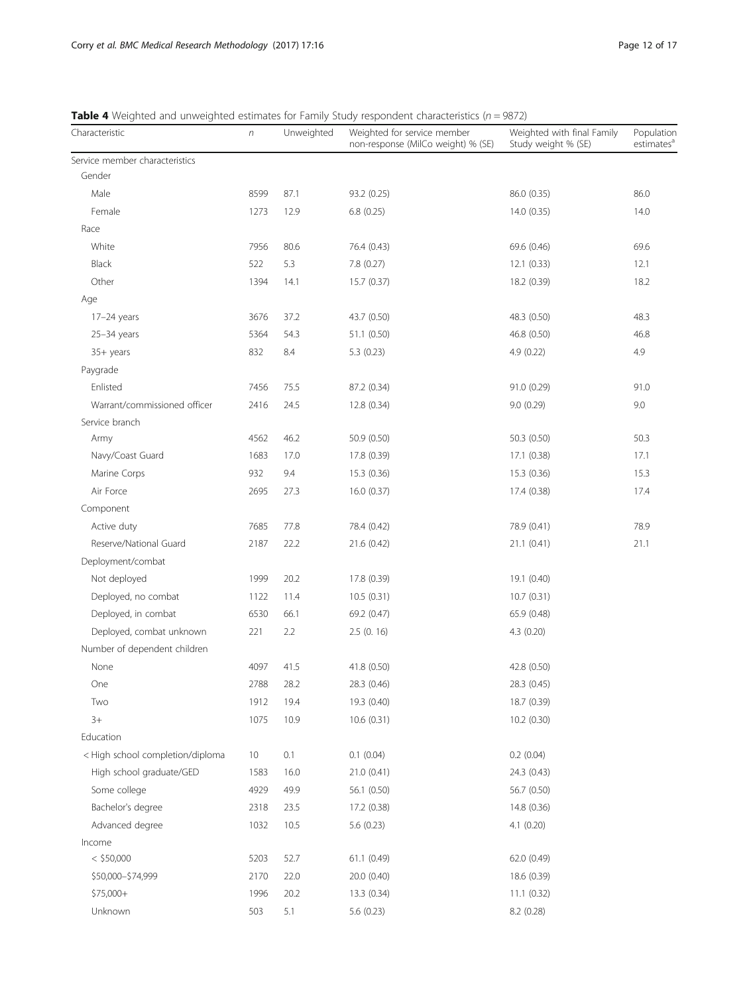| Characteristic                   | $\boldsymbol{n}$ | Unweighted | Weighted for service member<br>non-response (MilCo weight) % (SE) | Weighted with final Family<br>Study weight % (SE) | Population<br>estimates <sup>a</sup> |
|----------------------------------|------------------|------------|-------------------------------------------------------------------|---------------------------------------------------|--------------------------------------|
| Service member characteristics   |                  |            |                                                                   |                                                   |                                      |
| Gender                           |                  |            |                                                                   |                                                   |                                      |
| Male                             | 8599             | 87.1       | 93.2 (0.25)                                                       | 86.0 (0.35)                                       | 86.0                                 |
| Female                           | 1273             | 12.9       | 6.8(0.25)                                                         | 14.0(0.35)                                        | 14.0                                 |
| Race                             |                  |            |                                                                   |                                                   |                                      |
| White                            | 7956             | 80.6       | 76.4 (0.43)                                                       | 69.6 (0.46)                                       | 69.6                                 |
| Black                            | 522              | 5.3        | 7.8 (0.27)                                                        | 12.1(0.33)                                        | 12.1                                 |
| Other                            | 1394             | 14.1       | 15.7 (0.37)                                                       | 18.2 (0.39)                                       | 18.2                                 |
| Age                              |                  |            |                                                                   |                                                   |                                      |
| $17-24$ years                    | 3676             | 37.2       | 43.7 (0.50)                                                       | 48.3 (0.50)                                       | 48.3                                 |
| $25-34$ years                    | 5364             | 54.3       | 51.1 (0.50)                                                       | 46.8 (0.50)                                       | 46.8                                 |
| 35+ years                        | 832              | 8.4        | 5.3(0.23)                                                         | 4.9(0.22)                                         | 4.9                                  |
| Paygrade                         |                  |            |                                                                   |                                                   |                                      |
| Enlisted                         | 7456             | 75.5       | 87.2 (0.34)                                                       | 91.0 (0.29)                                       | 91.0                                 |
| Warrant/commissioned officer     | 2416             | 24.5       | 12.8(0.34)                                                        | 9.0(0.29)                                         | 9.0                                  |
| Service branch                   |                  |            |                                                                   |                                                   |                                      |
| Army                             | 4562             | 46.2       | 50.9 (0.50)                                                       | 50.3 (0.50)                                       | 50.3                                 |
| Navy/Coast Guard                 | 1683             | 17.0       | 17.8 (0.39)                                                       | 17.1 (0.38)                                       | 17.1                                 |
| Marine Corps                     | 932              | 9.4        | 15.3 (0.36)                                                       | 15.3(0.36)                                        | 15.3                                 |
| Air Force                        | 2695             | 27.3       | 16.0 (0.37)                                                       | 17.4 (0.38)                                       | 17.4                                 |
| Component                        |                  |            |                                                                   |                                                   |                                      |
| Active duty                      | 7685             | 77.8       | 78.4 (0.42)                                                       | 78.9 (0.41)                                       | 78.9                                 |
| Reserve/National Guard           | 2187             | 22.2       | 21.6 (0.42)                                                       | 21.1(0.41)                                        | 21.1                                 |
| Deployment/combat                |                  |            |                                                                   |                                                   |                                      |
| Not deployed                     | 1999             | 20.2       | 17.8 (0.39)                                                       | 19.1 (0.40)                                       |                                      |
| Deployed, no combat              | 1122             | 11.4       | 10.5(0.31)                                                        | 10.7(0.31)                                        |                                      |
| Deployed, in combat              | 6530             | 66.1       | 69.2 (0.47)                                                       | 65.9 (0.48)                                       |                                      |
| Deployed, combat unknown         | 221              | 2.2        | $2.5$ (0. 16)                                                     | 4.3(0.20)                                         |                                      |
| Number of dependent children     |                  |            |                                                                   |                                                   |                                      |
| None                             | 4097             | 41.5       | 41.8 (0.50)                                                       | 42.8 (0.50)                                       |                                      |
| One                              | 2788             | 28.2       | 28.3 (0.46)                                                       | 28.3 (0.45)                                       |                                      |
| Two                              | 1912             | 19.4       | 19.3 (0.40)                                                       | 18.7 (0.39)                                       |                                      |
| $3+$                             | 1075             | 10.9       | 10.6(0.31)                                                        | 10.2 (0.30)                                       |                                      |
| Education                        |                  |            |                                                                   |                                                   |                                      |
| < High school completion/diploma | 10               | 0.1        | 0.1(0.04)                                                         | 0.2(0.04)                                         |                                      |
| High school graduate/GED         | 1583             | 16.0       | 21.0 (0.41)                                                       | 24.3 (0.43)                                       |                                      |
| Some college                     | 4929             | 49.9       | 56.1 (0.50)                                                       | 56.7 (0.50)                                       |                                      |
| Bachelor's degree                | 2318             | 23.5       | 17.2 (0.38)                                                       | 14.8 (0.36)                                       |                                      |
| Advanced degree                  | 1032             | 10.5       | 5.6 (0.23)                                                        | 4.1(0.20)                                         |                                      |
| Income                           |                  |            |                                                                   |                                                   |                                      |
| $<$ \$50,000                     | 5203             | 52.7       | 61.1(0.49)                                                        | 62.0 (0.49)                                       |                                      |
| \$50,000-\$74,999                | 2170             | 22.0       | 20.0 (0.40)                                                       | 18.6 (0.39)                                       |                                      |
| \$75,000+                        | 1996             | 20.2       | 13.3 (0.34)                                                       | 11.1 (0.32)                                       |                                      |
| Unknown                          | 503              | 5.1        | 5.6 (0.23)                                                        | 8.2 (0.28)                                        |                                      |

<span id="page-11-0"></span>**Table 4** Weighted and unweighted estimates for Family Study respondent characteristics ( $n = 9872$ )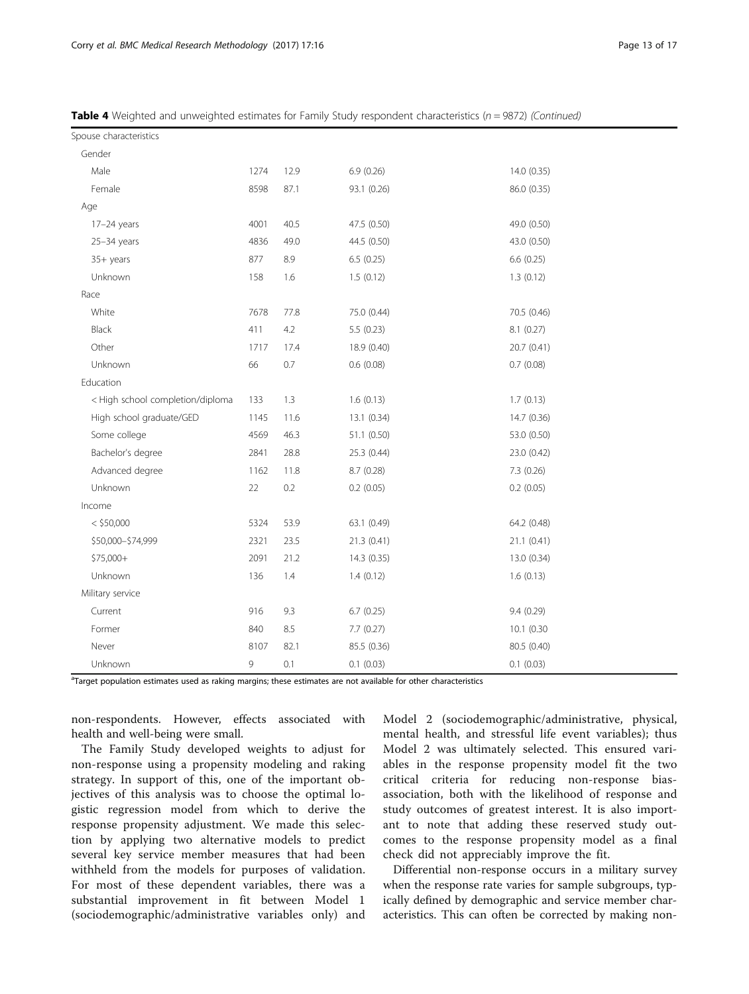| Spouse characteristics           |      |      |              |             |
|----------------------------------|------|------|--------------|-------------|
| Gender                           |      |      |              |             |
| Male                             | 1274 | 12.9 | 6.9(0.26)    | 14.0 (0.35) |
| Female                           | 8598 | 87.1 | 93.1 (0.26)  | 86.0 (0.35) |
| Age                              |      |      |              |             |
| $17-24$ years                    | 4001 | 40.5 | 47.5 (0.50)  | 49.0 (0.50) |
| $25-34$ years                    | 4836 | 49.0 | 44.5 (0.50)  | 43.0 (0.50) |
| 35+ years                        | 877  | 8.9  | 6.5(0.25)    | 6.6(0.25)   |
| Unknown                          | 158  | 1.6  | 1.5(0.12)    | 1.3(0.12)   |
| Race                             |      |      |              |             |
| White                            | 7678 | 77.8 | 75.0 (0.44)  | 70.5 (0.46) |
| Black                            | 411  | 4.2  | 5.5 (0.23)   | 8.1(0.27)   |
| Other                            | 1717 | 17.4 | 18.9 (0.40)  | 20.7 (0.41) |
| Unknown                          | 66   | 0.7  | 0.6(0.08)    | 0.7(0.08)   |
| Education                        |      |      |              |             |
| < High school completion/diploma | 133  | 1.3  | 1.6(0.13)    | 1.7(0.13)   |
| High school graduate/GED         | 1145 | 11.6 | 13.1 (0.34)  | 14.7(0.36)  |
| Some college                     | 4569 | 46.3 | 51.1 (0.50)  | 53.0 (0.50) |
| Bachelor's degree                | 2841 | 28.8 | 25.3 (0.44)  | 23.0 (0.42) |
| Advanced degree                  | 1162 | 11.8 | 8.7 (0.28)   | 7.3 (0.26)  |
| Unknown                          | 22   | 0.2  | $0.2$ (0.05) | 0.2(0.05)   |
| Income                           |      |      |              |             |
| $<$ \$50,000                     | 5324 | 53.9 | 63.1 (0.49)  | 64.2 (0.48) |
| \$50,000-\$74,999                | 2321 | 23.5 | 21.3 (0.41)  | 21.1 (0.41) |
| \$75,000+                        | 2091 | 21.2 | 14.3 (0.35)  | 13.0 (0.34) |
| Unknown                          | 136  | 1.4  | 1.4(0.12)    | 1.6(0.13)   |
| Military service                 |      |      |              |             |
| Current                          | 916  | 9.3  | 6.7(0.25)    | 9.4(0.29)   |
| Former                           | 840  | 8.5  | 7.7(0.27)    | 10.1 (0.30  |
| Never                            | 8107 | 82.1 | 85.5 (0.36)  | 80.5 (0.40) |
| Unknown                          | 9    | 0.1  | 0.1 (0.03)   | 0.1(0.03)   |

Table 4 Weighted and unweighted estimates for Family Study respondent characteristics (n = 9872) (Continued)

<sup>a</sup>Target population estimates used as raking margins; these estimates are not available for other characteristics

non-respondents. However, effects associated with health and well-being were small.

The Family Study developed weights to adjust for non-response using a propensity modeling and raking strategy. In support of this, one of the important objectives of this analysis was to choose the optimal logistic regression model from which to derive the response propensity adjustment. We made this selection by applying two alternative models to predict several key service member measures that had been withheld from the models for purposes of validation. For most of these dependent variables, there was a substantial improvement in fit between Model 1 (sociodemographic/administrative variables only) and

Model 2 (sociodemographic/administrative, physical, mental health, and stressful life event variables); thus Model 2 was ultimately selected. This ensured variables in the response propensity model fit the two critical criteria for reducing non-response biasassociation, both with the likelihood of response and study outcomes of greatest interest. It is also important to note that adding these reserved study outcomes to the response propensity model as a final check did not appreciably improve the fit.

Differential non-response occurs in a military survey when the response rate varies for sample subgroups, typically defined by demographic and service member characteristics. This can often be corrected by making non-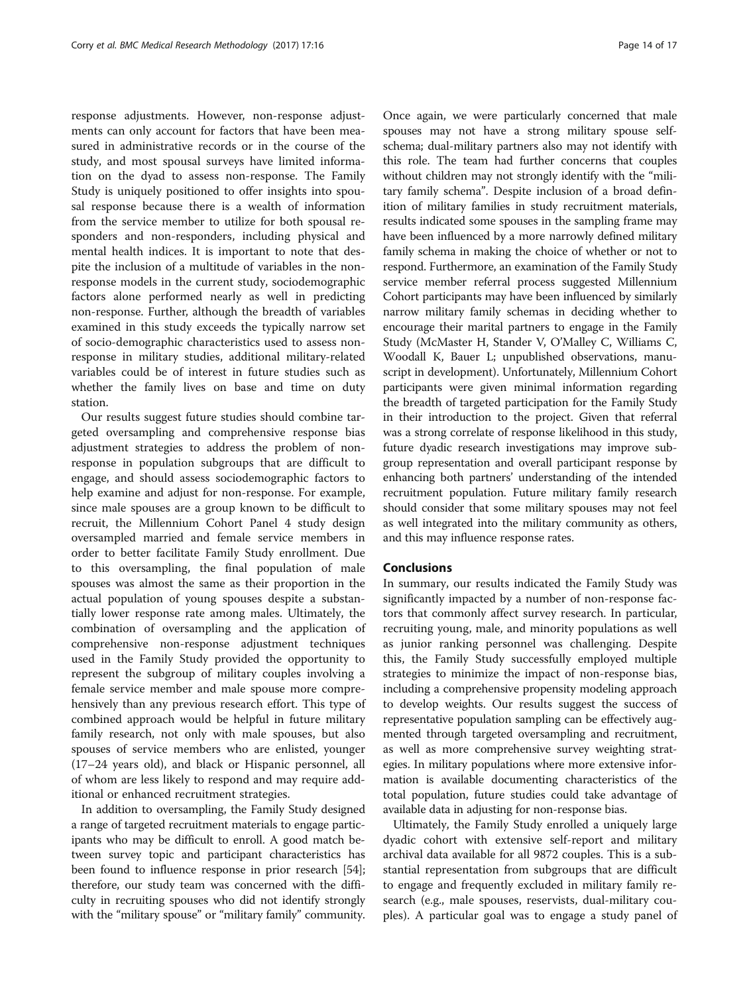response adjustments. However, non-response adjustments can only account for factors that have been measured in administrative records or in the course of the study, and most spousal surveys have limited information on the dyad to assess non-response. The Family Study is uniquely positioned to offer insights into spousal response because there is a wealth of information from the service member to utilize for both spousal responders and non-responders, including physical and mental health indices. It is important to note that despite the inclusion of a multitude of variables in the nonresponse models in the current study, sociodemographic factors alone performed nearly as well in predicting non-response. Further, although the breadth of variables examined in this study exceeds the typically narrow set of socio-demographic characteristics used to assess nonresponse in military studies, additional military-related variables could be of interest in future studies such as whether the family lives on base and time on duty station.

Our results suggest future studies should combine targeted oversampling and comprehensive response bias adjustment strategies to address the problem of nonresponse in population subgroups that are difficult to engage, and should assess sociodemographic factors to help examine and adjust for non-response. For example, since male spouses are a group known to be difficult to recruit, the Millennium Cohort Panel 4 study design oversampled married and female service members in order to better facilitate Family Study enrollment. Due to this oversampling, the final population of male spouses was almost the same as their proportion in the actual population of young spouses despite a substantially lower response rate among males. Ultimately, the combination of oversampling and the application of comprehensive non-response adjustment techniques used in the Family Study provided the opportunity to represent the subgroup of military couples involving a female service member and male spouse more comprehensively than any previous research effort. This type of combined approach would be helpful in future military family research, not only with male spouses, but also spouses of service members who are enlisted, younger (17–24 years old), and black or Hispanic personnel, all of whom are less likely to respond and may require additional or enhanced recruitment strategies.

In addition to oversampling, the Family Study designed a range of targeted recruitment materials to engage participants who may be difficult to enroll. A good match between survey topic and participant characteristics has been found to influence response in prior research [[54](#page-16-0)]; therefore, our study team was concerned with the difficulty in recruiting spouses who did not identify strongly with the "military spouse" or "military family" community.

Once again, we were particularly concerned that male spouses may not have a strong military spouse selfschema; dual-military partners also may not identify with this role. The team had further concerns that couples without children may not strongly identify with the "military family schema". Despite inclusion of a broad definition of military families in study recruitment materials, results indicated some spouses in the sampling frame may have been influenced by a more narrowly defined military family schema in making the choice of whether or not to respond. Furthermore, an examination of the Family Study service member referral process suggested Millennium Cohort participants may have been influenced by similarly narrow military family schemas in deciding whether to encourage their marital partners to engage in the Family Study (McMaster H, Stander V, O'Malley C, Williams C, Woodall K, Bauer L; unpublished observations, manuscript in development). Unfortunately, Millennium Cohort participants were given minimal information regarding the breadth of targeted participation for the Family Study in their introduction to the project. Given that referral was a strong correlate of response likelihood in this study, future dyadic research investigations may improve subgroup representation and overall participant response by enhancing both partners' understanding of the intended recruitment population. Future military family research should consider that some military spouses may not feel as well integrated into the military community as others, and this may influence response rates.

## Conclusions

In summary, our results indicated the Family Study was significantly impacted by a number of non-response factors that commonly affect survey research. In particular, recruiting young, male, and minority populations as well as junior ranking personnel was challenging. Despite this, the Family Study successfully employed multiple strategies to minimize the impact of non-response bias, including a comprehensive propensity modeling approach to develop weights. Our results suggest the success of representative population sampling can be effectively augmented through targeted oversampling and recruitment, as well as more comprehensive survey weighting strategies. In military populations where more extensive information is available documenting characteristics of the total population, future studies could take advantage of available data in adjusting for non-response bias.

Ultimately, the Family Study enrolled a uniquely large dyadic cohort with extensive self-report and military archival data available for all 9872 couples. This is a substantial representation from subgroups that are difficult to engage and frequently excluded in military family research (e.g., male spouses, reservists, dual-military couples). A particular goal was to engage a study panel of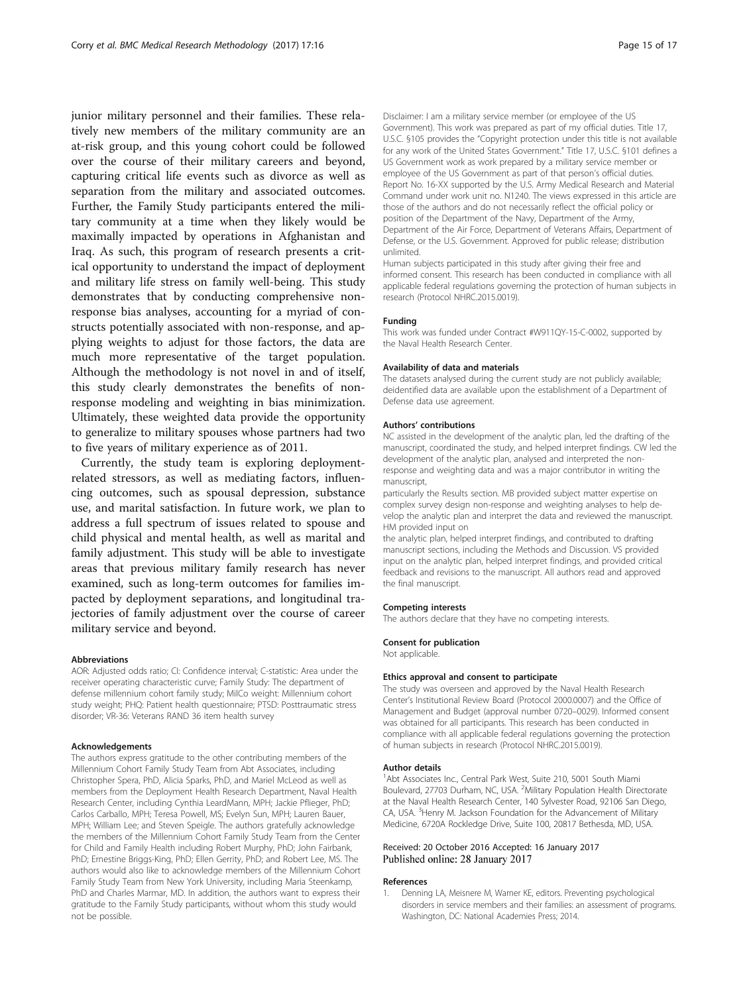<span id="page-14-0"></span>junior military personnel and their families. These relatively new members of the military community are an at-risk group, and this young cohort could be followed over the course of their military careers and beyond, capturing critical life events such as divorce as well as separation from the military and associated outcomes. Further, the Family Study participants entered the military community at a time when they likely would be maximally impacted by operations in Afghanistan and Iraq. As such, this program of research presents a critical opportunity to understand the impact of deployment and military life stress on family well-being. This study demonstrates that by conducting comprehensive nonresponse bias analyses, accounting for a myriad of constructs potentially associated with non-response, and applying weights to adjust for those factors, the data are much more representative of the target population. Although the methodology is not novel in and of itself, this study clearly demonstrates the benefits of nonresponse modeling and weighting in bias minimization. Ultimately, these weighted data provide the opportunity to generalize to military spouses whose partners had two to five years of military experience as of 2011.

Currently, the study team is exploring deploymentrelated stressors, as well as mediating factors, influencing outcomes, such as spousal depression, substance use, and marital satisfaction. In future work, we plan to address a full spectrum of issues related to spouse and child physical and mental health, as well as marital and family adjustment. This study will be able to investigate areas that previous military family research has never examined, such as long-term outcomes for families impacted by deployment separations, and longitudinal trajectories of family adjustment over the course of career military service and beyond.

#### Abbreviations

AOR: Adjusted odds ratio; CI: Confidence interval; C-statistic: Area under the receiver operating characteristic curve; Family Study: The department of defense millennium cohort family study; MilCo weight: Millennium cohort study weight; PHQ: Patient health questionnaire; PTSD: Posttraumatic stress disorder; VR-36: Veterans RAND 36 item health survey

#### Acknowledgements

The authors express gratitude to the other contributing members of the Millennium Cohort Family Study Team from Abt Associates, including Christopher Spera, PhD, Alicia Sparks, PhD, and Mariel McLeod as well as members from the Deployment Health Research Department, Naval Health Research Center, including Cynthia LeardMann, MPH; Jackie Pflieger, PhD; Carlos Carballo, MPH; Teresa Powell, MS; Evelyn Sun, MPH; Lauren Bauer, MPH; William Lee; and Steven Speigle. The authors gratefully acknowledge the members of the Millennium Cohort Family Study Team from the Center for Child and Family Health including Robert Murphy, PhD; John Fairbank, PhD; Ernestine Briggs-King, PhD; Ellen Gerrity, PhD; and Robert Lee, MS. The authors would also like to acknowledge members of the Millennium Cohort Family Study Team from New York University, including Maria Steenkamp, PhD and Charles Marmar, MD. In addition, the authors want to express their gratitude to the Family Study participants, without whom this study would not be possible.

Disclaimer: I am a military service member (or employee of the US Government). This work was prepared as part of my official duties. Title 17, U.S.C. §105 provides the "Copyright protection under this title is not available for any work of the United States Government." Title 17, U.S.C. §101 defines a US Government work as work prepared by a military service member or employee of the US Government as part of that person's official duties. Report No. 16-XX supported by the U.S. Army Medical Research and Material Command under work unit no. N1240. The views expressed in this article are those of the authors and do not necessarily reflect the official policy or position of the Department of the Navy, Department of the Army, Department of the Air Force, Department of Veterans Affairs, Department of Defense, or the U.S. Government. Approved for public release; distribution unlimited.

Human subjects participated in this study after giving their free and informed consent. This research has been conducted in compliance with all applicable federal regulations governing the protection of human subjects in research (Protocol NHRC.2015.0019).

#### Funding

This work was funded under Contract #W911QY-15-C-0002, supported by the Naval Health Research Center.

#### Availability of data and materials

The datasets analysed during the current study are not publicly available; deidentified data are available upon the establishment of a Department of Defense data use agreement.

#### Authors' contributions

NC assisted in the development of the analytic plan, led the drafting of the manuscript, coordinated the study, and helped interpret findings. CW led the development of the analytic plan, analysed and interpreted the nonresponse and weighting data and was a major contributor in writing the manuscript,

particularly the Results section. MB provided subject matter expertise on complex survey design non-response and weighting analyses to help develop the analytic plan and interpret the data and reviewed the manuscript. HM provided input on

the analytic plan, helped interpret findings, and contributed to drafting manuscript sections, including the Methods and Discussion. VS provided input on the analytic plan, helped interpret findings, and provided critical feedback and revisions to the manuscript. All authors read and approved the final manuscript.

#### Competing interests

The authors declare that they have no competing interests.

#### Consent for publication

Not applicable.

#### Ethics approval and consent to participate

The study was overseen and approved by the Naval Health Research Center's Institutional Review Board (Protocol 2000.0007) and the Office of Management and Budget (approval number 0720–0029). Informed consent was obtained for all participants. This research has been conducted in compliance with all applicable federal regulations governing the protection of human subjects in research (Protocol NHRC.2015.0019).

#### Author details

<sup>1</sup>Abt Associates Inc., Central Park West, Suite 210, 5001 South Miami Boulevard, 27703 Durham, NC, USA. <sup>2</sup>Military Population Health Directorate at the Naval Health Research Center, 140 Sylvester Road, 92106 San Diego, CA, USA. <sup>3</sup>Henry M. Jackson Foundation for the Advancement of Military Medicine, 6720A Rockledge Drive, Suite 100, 20817 Bethesda, MD, USA.

#### Received: 20 October 2016 Accepted: 16 January 2017 Published online: 28 January 2017

#### References

1. Denning LA, Meisnere M, Warner KE, editors. Preventing psychological disorders in service members and their families: an assessment of programs. Washington, DC: National Academies Press; 2014.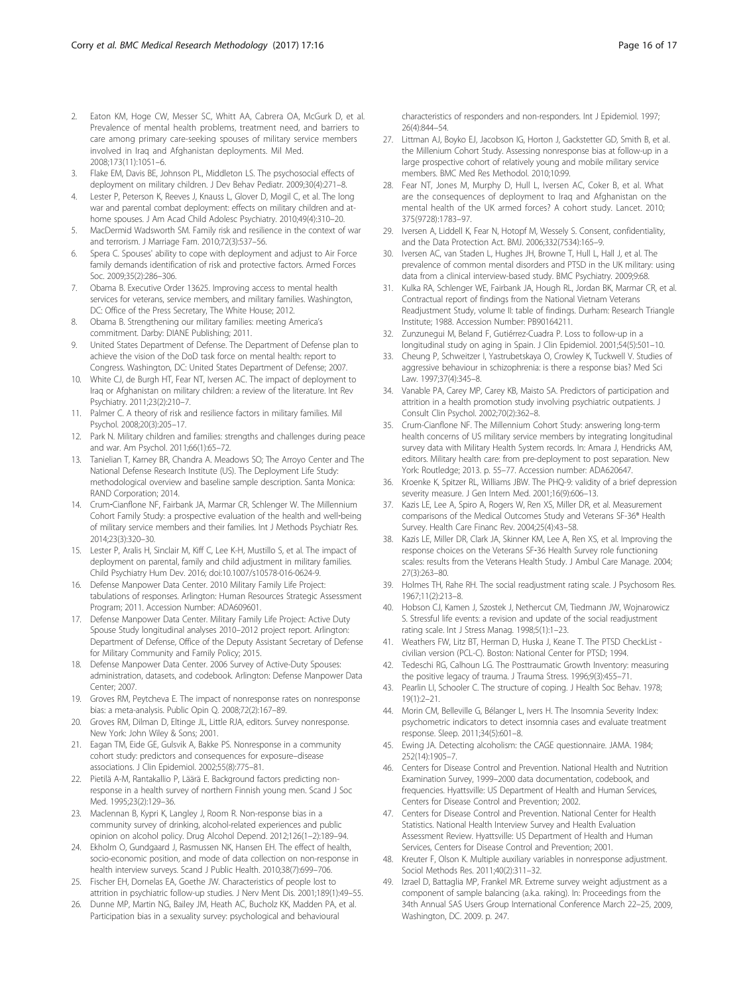- <span id="page-15-0"></span>2. Eaton KM, Hoge CW, Messer SC, Whitt AA, Cabrera OA, McGurk D, et al. Prevalence of mental health problems, treatment need, and barriers to care among primary care-seeking spouses of military service members involved in Iraq and Afghanistan deployments. Mil Med. 2008;173(11):1051–6.
- 3. Flake EM, Davis BE, Johnson PL, Middleton LS. The psychosocial effects of deployment on military children. J Dev Behav Pediatr. 2009;30(4):271–8.
- 4. Lester P, Peterson K, Reeves J, Knauss L, Glover D, Mogil C, et al. The long war and parental combat deployment: effects on military children and athome spouses. J Am Acad Child Adolesc Psychiatry. 2010;49(4):310–20.
- MacDermid Wadsworth SM. Family risk and resilience in the context of war and terrorism. J Marriage Fam. 2010;72(3):537–56.
- 6. Spera C. Spouses' ability to cope with deployment and adjust to Air Force family demands identification of risk and protective factors. Armed Forces Soc. 2009;35(2):286–306.
- 7. Obama B. Executive Order 13625. Improving access to mental health services for veterans, service members, and military families. Washington, DC: Office of the Press Secretary, The White House; 2012.
- 8. Obama B. Strengthening our military families: meeting America's commitment. Darby: DIANE Publishing; 2011.
- 9. United States Department of Defense. The Department of Defense plan to achieve the vision of the DoD task force on mental health: report to Congress. Washington, DC: United States Department of Defense; 2007.
- 10. White CJ, de Burgh HT, Fear NT, Iversen AC. The impact of deployment to Iraq or Afghanistan on military children: a review of the literature. Int Rev Psychiatry. 2011;23(2):210–7.
- 11. Palmer C. A theory of risk and resilience factors in military families. Mil Psychol. 2008;20(3):205–17.
- 12. Park N. Military children and families: strengths and challenges during peace and war. Am Psychol. 2011;66(1):65–72.
- 13. Tanielian T, Karney BR, Chandra A. Meadows SO; The Arroyo Center and The National Defense Research Institute (US). The Deployment Life Study: methodological overview and baseline sample description. Santa Monica: RAND Corporation; 2014.
- 14. Crum‐Cianflone NF, Fairbank JA, Marmar CR, Schlenger W. The Millennium Cohort Family Study: a prospective evaluation of the health and well‐being of military service members and their families. Int J Methods Psychiatr Res. 2014;23(3):320–30.
- 15. Lester P, Aralis H, Sinclair M, Kiff C, Lee K-H, Mustillo S, et al. The impact of deployment on parental, family and child adjustment in military families. Child Psychiatry Hum Dev. 2016; doi:10.1007/s10578-016-0624-9.
- 16. Defense Manpower Data Center. 2010 Military Family Life Project: tabulations of responses. Arlington: Human Resources Strategic Assessment Program; 2011. Accession Number: ADA609601.
- 17. Defense Manpower Data Center. Military Family Life Project: Active Duty Spouse Study longitudinal analyses 2010–2012 project report. Arlington: Department of Defense, Office of the Deputy Assistant Secretary of Defense for Military Community and Family Policy; 2015.
- 18. Defense Manpower Data Center. 2006 Survey of Active-Duty Spouses: administration, datasets, and codebook. Arlington: Defense Manpower Data Center; 2007.
- 19. Groves RM, Peytcheva E. The impact of nonresponse rates on nonresponse bias: a meta-analysis. Public Opin Q. 2008;72(2):167–89.
- 20. Groves RM, Dilman D, Eltinge JL, Little RJA, editors. Survey nonresponse. New York: John Wiley & Sons; 2001.
- 21. Eagan TM, Eide GE, Gulsvik A, Bakke PS. Nonresponse in a community cohort study: predictors and consequences for exposure–disease associations. J Clin Epidemiol. 2002;55(8):775–81.
- 22. Pietilä A-M, Rantakallio P, Läärä E. Background factors predicting nonresponse in a health survey of northern Finnish young men. Scand J Soc Med. 1995;23(2):129–36.
- 23. Maclennan B, Kypri K, Langley J, Room R. Non-response bias in a community survey of drinking, alcohol-related experiences and public opinion on alcohol policy. Drug Alcohol Depend. 2012;126(1–2):189–94.
- 24. Ekholm O, Gundgaard J, Rasmussen NK, Hansen EH. The effect of health, socio-economic position, and mode of data collection on non-response in health interview surveys. Scand J Public Health. 2010;38(7):699–706.
- 25. Fischer EH, Dornelas EA, Goethe JW. Characteristics of people lost to attrition in psychiatric follow-up studies. J Nerv Ment Dis. 2001;189(1):49–55.
- 26. Dunne MP, Martin NG, Bailey JM, Heath AC, Bucholz KK, Madden PA, et al. Participation bias in a sexuality survey: psychological and behavioural

characteristics of responders and non-responders. Int J Epidemiol. 1997; 26(4):844–54.

- 27. Littman AJ, Boyko EJ, Jacobson IG, Horton J, Gackstetter GD, Smith B, et al. the Millenium Cohort Study. Assessing nonresponse bias at follow-up in a large prospective cohort of relatively young and mobile military service members. BMC Med Res Methodol. 2010;10:99.
- 28. Fear NT, Jones M, Murphy D, Hull L, Iversen AC, Coker B, et al. What are the consequences of deployment to Iraq and Afghanistan on the mental health of the UK armed forces? A cohort study. Lancet. 2010; 375(9728):1783–97.
- 29. Iversen A, Liddell K, Fear N, Hotopf M, Wessely S. Consent, confidentiality, and the Data Protection Act. BMJ. 2006;332(7534):165–9.
- 30. Iversen AC, van Staden L, Hughes JH, Browne T, Hull L, Hall J, et al. The prevalence of common mental disorders and PTSD in the UK military: using data from a clinical interview-based study. BMC Psychiatry. 2009;9:68.
- 31. Kulka RA, Schlenger WE, Fairbank JA, Hough RL, Jordan BK, Marmar CR, et al. Contractual report of findings from the National Vietnam Veterans Readjustment Study, volume II: table of findings. Durham: Research Triangle Institute; 1988. Accession Number: PB90164211.
- 32. Zunzunegui M, Beland F, Gutiérrez-Cuadra P. Loss to follow-up in a longitudinal study on aging in Spain. J Clin Epidemiol. 2001;54(5):501–10.
- 33. Cheung P, Schweitzer I, Yastrubetskaya O, Crowley K, Tuckwell V. Studies of aggressive behaviour in schizophrenia: is there a response bias? Med Sci Law. 1997;37(4):345–8.
- 34. Vanable PA, Carey MP, Carey KB, Maisto SA. Predictors of participation and attrition in a health promotion study involving psychiatric outpatients. J Consult Clin Psychol. 2002;70(2):362–8.
- 35. Crum-Cianflone NF. The Millennium Cohort Study: answering long-term health concerns of US military service members by integrating longitudinal survey data with Military Health System records. In: Amara J, Hendricks AM, editors. Military health care: from pre-deployment to post separation. New York: Routledge; 2013. p. 55–77. Accession number: ADA620647.
- 36. Kroenke K, Spitzer RL, Williams JBW. The PHQ-9: validity of a brief depression severity measure. J Gen Intern Med. 2001;16(9):606–13.
- 37. Kazis LE, Lee A, Spiro A, Rogers W, Ren XS, Miller DR, et al. Measurement comparisons of the Medical Outcomes Study and Veterans SF-36® Health Survey. Health Care Financ Rev. 2004;25(4):43–58.
- 38. Kazis LE, Miller DR, Clark JA, Skinner KM, Lee A, Ren XS, et al. Improving the response choices on the Veterans SF‐36 Health Survey role functioning scales: results from the Veterans Health Study. J Ambul Care Manage. 2004; 27(3):263–80.
- 39. Holmes TH, Rahe RH. The social readjustment rating scale. J Psychosom Res. 1967;11(2):213–8.
- 40. Hobson CJ, Kamen J, Szostek J, Nethercut CM, Tiedmann JW, Wojnarowicz S. Stressful life events: a revision and update of the social readjustment rating scale. Int J Stress Manag. 1998;5(1):1–23.
- 41. Weathers FW, Litz BT, Herman D, Huska J, Keane T. The PTSD CheckList civilian version (PCL-C). Boston: National Center for PTSD; 1994.
- 42. Tedeschi RG, Calhoun LG. The Posttraumatic Growth Inventory: measuring the positive legacy of trauma. J Trauma Stress. 1996;9(3):455–71.
- 43. Pearlin LI, Schooler C. The structure of coping. J Health Soc Behav. 1978; 19(1):2–21.
- 44. Morin CM, Belleville G, Bélanger L, Ivers H. The Insomnia Severity Index: psychometric indicators to detect insomnia cases and evaluate treatment response. Sleep. 2011;34(5):601–8.
- 45. Ewing JA. Detecting alcoholism: the CAGE questionnaire. JAMA. 1984; 252(14):1905–7.
- 46. Centers for Disease Control and Prevention. National Health and Nutrition Examination Survey, 1999–2000 data documentation, codebook, and frequencies. Hyattsville: US Department of Health and Human Services, Centers for Disease Control and Prevention; 2002.
- 47. Centers for Disease Control and Prevention. National Center for Health Statistics. National Health Interview Survey and Health Evaluation Assessment Review. Hyattsville: US Department of Health and Human Services, Centers for Disease Control and Prevention; 2001.
- 48. Kreuter F, Olson K. Multiple auxiliary variables in nonresponse adjustment. Sociol Methods Res. 2011;40(2):311–32.
- 49. Izrael D, Battaglia MP, Frankel MR. Extreme survey weight adjustment as a component of sample balancing (a.k.a. raking). In: Proceedings from the 34th Annual SAS Users Group International Conference March 22–25, 2009, Washington, DC. 2009. p. 247.